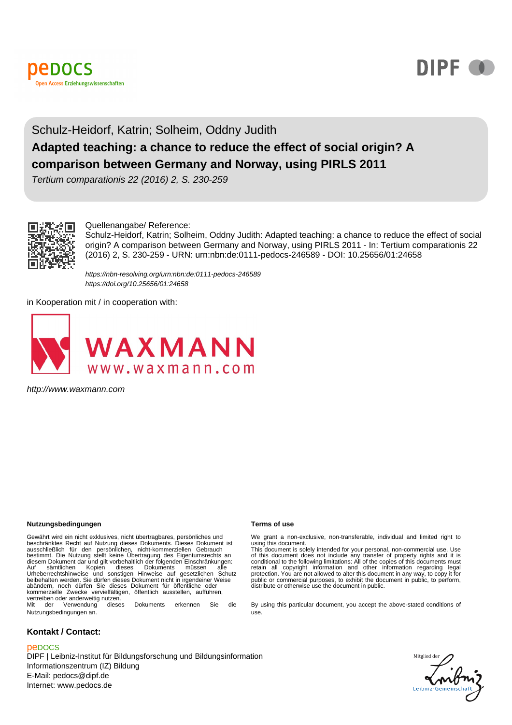



# Schulz-Heidorf, Katrin; Solheim, Oddny Judith

# **Adapted teaching: a chance to reduce the effect of social origin? A comparison between Germany and Norway, using PIRLS 2011**

Tertium comparationis 22 (2016) 2, S. 230-259



#### Quellenangabe/ Reference:

Schulz-Heidorf, Katrin; Solheim, Oddny Judith: Adapted teaching: a chance to reduce the effect of social origin? A comparison between Germany and Norway, using PIRLS 2011 - In: Tertium comparationis 22 (2016) 2, S. 230-259 - URN: urn:nbn:de:0111-pedocs-246589 - DOI: 10.25656/01:24658

https://nbn-resolving.org/urn:nbn:de:0111-pedocs-246589 https://doi.org/10.25656/01:24658

in Kooperation mit / in cooperation with:



http://www.waxmann.com

#### **Nutzungsbedingungen Terms of use**

Gewährt wird ein nicht exklusives, nicht übertragbares, persönliches und beschränktes Recht auf Nutzung dieses Dokuments. Dieses Dokument ist ausschließlich für den persönlichen, nicht-kommerziellen Gebrauch bestimmt. Die Nutzung stellt keine Übertragung des Eigentumsrechts an diesem Dokument dar und gilt vorbehaltlich der folgenden Einschränkungen:<br>Auf sämtlichen Kopien dieses Dokuments müssen alle<br>Urheberrechtshinweise und sonstigen Hinweise auf gesetzlichen Sc beibehalten werden. Sie dürfen dieses Dokument nicht in irgendeiner Weise abändern, noch dürfen Sie dieses Dokument für öffentliche oder kommerzielle Zwecke vervielfältigen, öffentlich ausstellen, aufführen, vertreiben oder anderweitig nutzen<sup>.</sup><br>Mit der Verwendung diese dieses Dokuments erkennen Sie die

Nutzungsbedingungen an.

#### **Kontakt / Contact:**

#### peDOCS

DIPF | Leibniz-Institut für Bildungsforschung und Bildungsinformation Informationszentrum (IZ) Bildung E-Mail: pedocs@dipf.de Internet: www.pedocs.de

We grant a non-exclusive, non-transferable, individual and limited right to using this document. This document is solely intended for your personal, non-commercial use. Use

of this document does not include any transfer of property rights and it is<br>conditional to the following limitations: All of the copies of this documents must<br>retain all copyright information and other information regardin protection. You are not allowed to alter this document in any way, to copy it for public or commercial purposes, to exhibit the document in public, to perform, distribute or otherwise use the document in public.

By using this particular document, you accept the above-stated conditions of use.

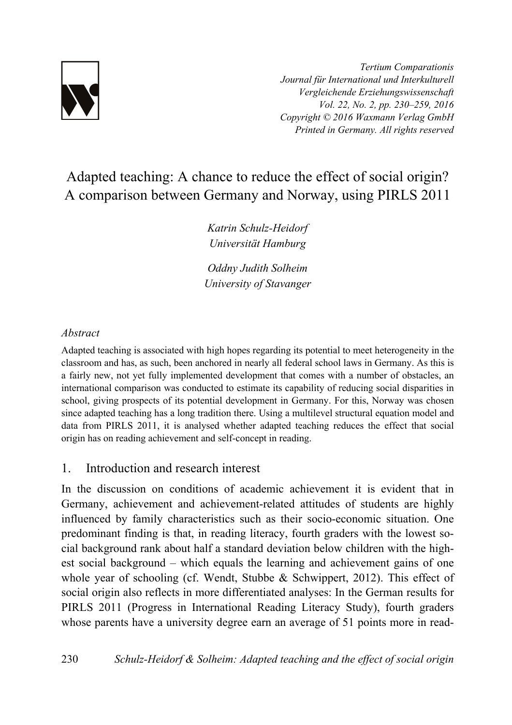

*Tertium Comparationis Journal für International und Interkulturell Vergleichende Erziehungswissenschaft Vol. 22, No. 2, pp. 230–259, 2016 Copyright © 2016 Waxmann Verlag GmbH Printed in Germany. All rights reserved*

# Adapted teaching: A chance to reduce the effect of social origin? A comparison between Germany and Norway, using PIRLS 2011

*Katrin Schulz-Heidorf Universität Hamburg* 

*Oddny Judith Solheim University of Stavanger* 

## *Abstract*

Adapted teaching is associated with high hopes regarding its potential to meet heterogeneity in the classroom and has, as such, been anchored in nearly all federal school laws in Germany. As this is a fairly new, not yet fully implemented development that comes with a number of obstacles, an international comparison was conducted to estimate its capability of reducing social disparities in school, giving prospects of its potential development in Germany. For this, Norway was chosen since adapted teaching has a long tradition there. Using a multilevel structural equation model and data from PIRLS 2011, it is analysed whether adapted teaching reduces the effect that social origin has on reading achievement and self-concept in reading.

# 1. Introduction and research interest

In the discussion on conditions of academic achievement it is evident that in Germany, achievement and achievement-related attitudes of students are highly influenced by family characteristics such as their socio-economic situation. One predominant finding is that, in reading literacy, fourth graders with the lowest social background rank about half a standard deviation below children with the highest social background – which equals the learning and achievement gains of one whole year of schooling (cf. Wendt, Stubbe & Schwippert, 2012). This effect of social origin also reflects in more differentiated analyses: In the German results for PIRLS 2011 (Progress in International Reading Literacy Study), fourth graders whose parents have a university degree earn an average of 51 points more in read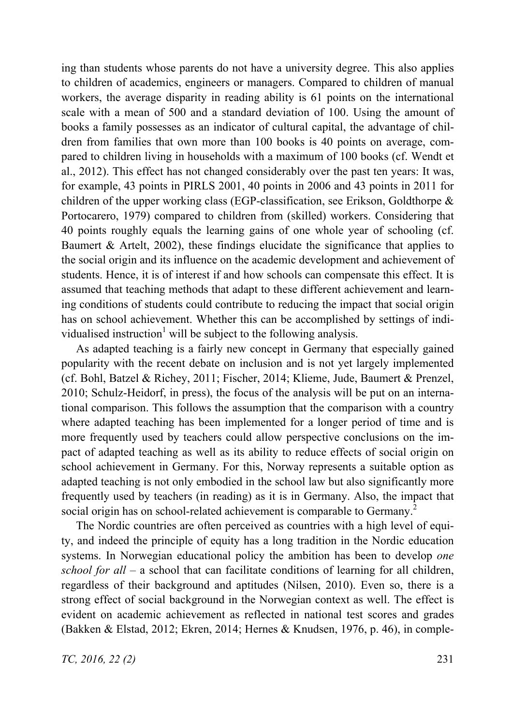ing than students whose parents do not have a university degree. This also applies to children of academics, engineers or managers. Compared to children of manual workers, the average disparity in reading ability is 61 points on the international scale with a mean of 500 and a standard deviation of 100. Using the amount of books a family possesses as an indicator of cultural capital, the advantage of children from families that own more than 100 books is 40 points on average, compared to children living in households with a maximum of 100 books (cf. Wendt et al., 2012). This effect has not changed considerably over the past ten years: It was, for example, 43 points in PIRLS 2001, 40 points in 2006 and 43 points in 2011 for children of the upper working class (EGP-classification, see Erikson, Goldthorpe & Portocarero, 1979) compared to children from (skilled) workers. Considering that 40 points roughly equals the learning gains of one whole year of schooling (cf. Baumert & Artelt, 2002), these findings elucidate the significance that applies to the social origin and its influence on the academic development and achievement of students. Hence, it is of interest if and how schools can compensate this effect. It is assumed that teaching methods that adapt to these different achievement and learning conditions of students could contribute to reducing the impact that social origin has on school achievement. Whether this can be accomplished by settings of individualised instruction<sup>1</sup> will be subject to the following analysis.

As adapted teaching is a fairly new concept in Germany that especially gained popularity with the recent debate on inclusion and is not yet largely implemented (cf. Bohl, Batzel & Richey, 2011; Fischer, 2014; Klieme, Jude, Baumert & Prenzel, 2010; Schulz-Heidorf, in press), the focus of the analysis will be put on an international comparison. This follows the assumption that the comparison with a country where adapted teaching has been implemented for a longer period of time and is more frequently used by teachers could allow perspective conclusions on the impact of adapted teaching as well as its ability to reduce effects of social origin on school achievement in Germany. For this, Norway represents a suitable option as adapted teaching is not only embodied in the school law but also significantly more frequently used by teachers (in reading) as it is in Germany. Also, the impact that social origin has on school-related achievement is comparable to Germany.<sup>2</sup>

The Nordic countries are often perceived as countries with a high level of equity, and indeed the principle of equity has a long tradition in the Nordic education systems. In Norwegian educational policy the ambition has been to develop *one school for all* – a school that can facilitate conditions of learning for all children, regardless of their background and aptitudes (Nilsen, 2010). Even so, there is a strong effect of social background in the Norwegian context as well. The effect is evident on academic achievement as reflected in national test scores and grades (Bakken & Elstad, 2012; Ekren, 2014; Hernes & Knudsen, 1976, p. 46), in comple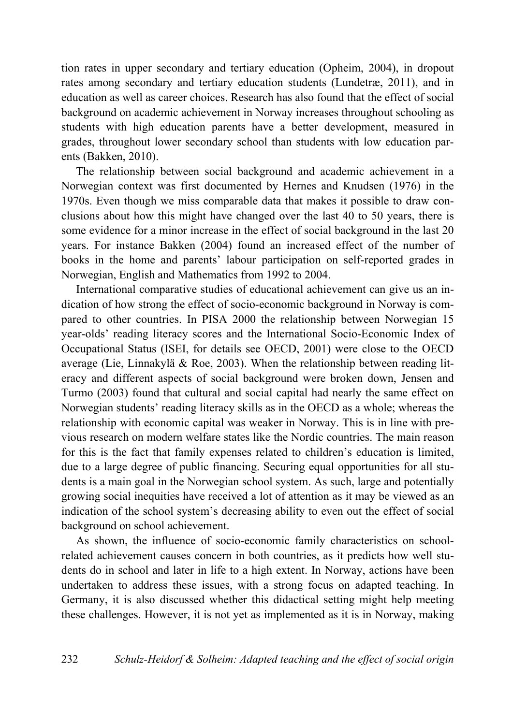tion rates in upper secondary and tertiary education (Opheim, 2004), in dropout rates among secondary and tertiary education students (Lundetræ, 2011), and in education as well as career choices. Research has also found that the effect of social background on academic achievement in Norway increases throughout schooling as students with high education parents have a better development, measured in grades, throughout lower secondary school than students with low education parents (Bakken, 2010).

The relationship between social background and academic achievement in a Norwegian context was first documented by Hernes and Knudsen (1976) in the 1970s. Even though we miss comparable data that makes it possible to draw conclusions about how this might have changed over the last 40 to 50 years, there is some evidence for a minor increase in the effect of social background in the last 20 years. For instance Bakken (2004) found an increased effect of the number of books in the home and parents' labour participation on self-reported grades in Norwegian, English and Mathematics from 1992 to 2004.

International comparative studies of educational achievement can give us an indication of how strong the effect of socio-economic background in Norway is compared to other countries. In PISA 2000 the relationship between Norwegian 15 year-olds' reading literacy scores and the International Socio-Economic Index of Occupational Status (ISEI, for details see OECD, 2001) were close to the OECD average (Lie, Linnakylä & Roe, 2003). When the relationship between reading literacy and different aspects of social background were broken down, Jensen and Turmo (2003) found that cultural and social capital had nearly the same effect on Norwegian students' reading literacy skills as in the OECD as a whole; whereas the relationship with economic capital was weaker in Norway. This is in line with previous research on modern welfare states like the Nordic countries. The main reason for this is the fact that family expenses related to children's education is limited, due to a large degree of public financing. Securing equal opportunities for all students is a main goal in the Norwegian school system. As such, large and potentially growing social inequities have received a lot of attention as it may be viewed as an indication of the school system's decreasing ability to even out the effect of social background on school achievement.

As shown, the influence of socio-economic family characteristics on schoolrelated achievement causes concern in both countries, as it predicts how well students do in school and later in life to a high extent. In Norway, actions have been undertaken to address these issues, with a strong focus on adapted teaching. In Germany, it is also discussed whether this didactical setting might help meeting these challenges. However, it is not yet as implemented as it is in Norway, making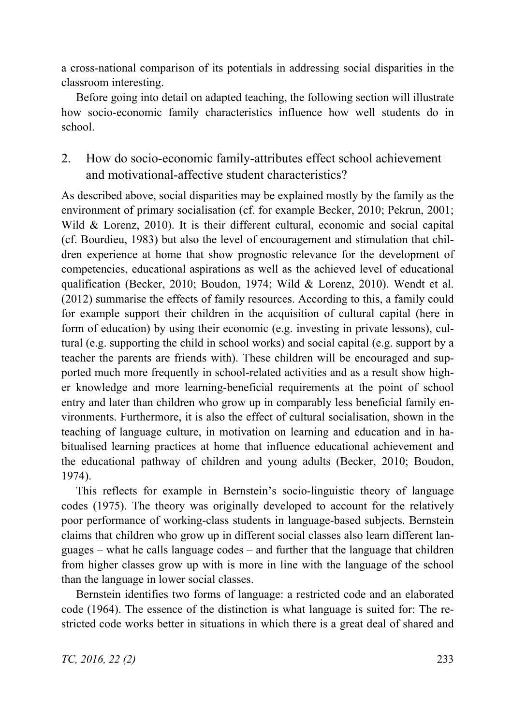a cross-national comparison of its potentials in addressing social disparities in the classroom interesting.

Before going into detail on adapted teaching, the following section will illustrate how socio-economic family characteristics influence how well students do in school.

# 2. How do socio-economic family-attributes effect school achievement and motivational-affective student characteristics?

As described above, social disparities may be explained mostly by the family as the environment of primary socialisation (cf. for example Becker, 2010; Pekrun, 2001; Wild & Lorenz, 2010). It is their different cultural, economic and social capital (cf. Bourdieu, 1983) but also the level of encouragement and stimulation that children experience at home that show prognostic relevance for the development of competencies, educational aspirations as well as the achieved level of educational qualification (Becker, 2010; Boudon, 1974; Wild & Lorenz, 2010). Wendt et al. (2012) summarise the effects of family resources. According to this, a family could for example support their children in the acquisition of cultural capital (here in form of education) by using their economic (e.g. investing in private lessons), cultural (e.g. supporting the child in school works) and social capital (e.g. support by a teacher the parents are friends with). These children will be encouraged and supported much more frequently in school-related activities and as a result show higher knowledge and more learning-beneficial requirements at the point of school entry and later than children who grow up in comparably less beneficial family environments. Furthermore, it is also the effect of cultural socialisation, shown in the teaching of language culture, in motivation on learning and education and in habitualised learning practices at home that influence educational achievement and the educational pathway of children and young adults (Becker, 2010; Boudon, 1974).

This reflects for example in Bernstein's socio-linguistic theory of language codes (1975). The theory was originally developed to account for the relatively poor performance of working-class students in language-based subjects. Bernstein claims that children who grow up in different social classes also learn different languages – what he calls language codes – and further that the language that children from higher classes grow up with is more in line with the language of the school than the language in lower social classes.

Bernstein identifies two forms of language: a restricted code and an elaborated code (1964). The essence of the distinction is what language is suited for: The restricted code works better in situations in which there is a great deal of shared and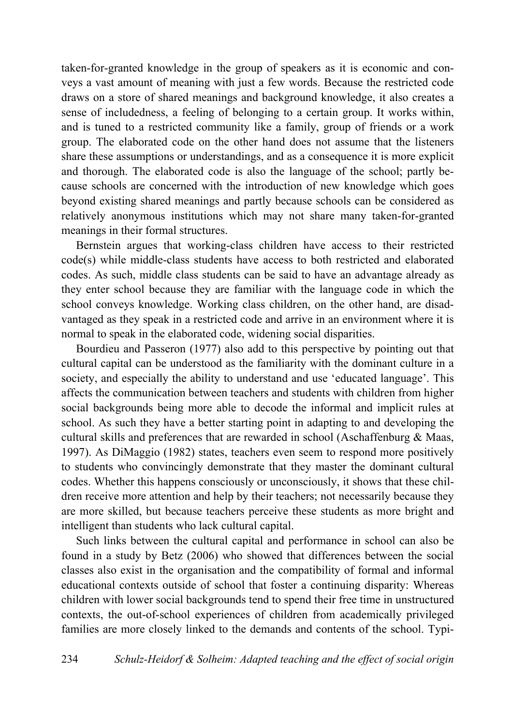taken-for-granted knowledge in the group of speakers as it is economic and conveys a vast amount of meaning with just a few words. Because the restricted code draws on a store of shared meanings and background knowledge, it also creates a sense of includedness, a feeling of belonging to a certain group. It works within, and is tuned to a restricted community like a family, group of friends or a work group. The elaborated code on the other hand does not assume that the listeners share these assumptions or understandings, and as a consequence it is more explicit and thorough. The elaborated code is also the language of the school; partly because schools are concerned with the introduction of new knowledge which goes beyond existing shared meanings and partly because schools can be considered as relatively anonymous institutions which may not share many taken-for-granted meanings in their formal structures.

Bernstein argues that working-class children have access to their restricted code(s) while middle-class students have access to both restricted and elaborated codes. As such, middle class students can be said to have an advantage already as they enter school because they are familiar with the language code in which the school conveys knowledge. Working class children, on the other hand, are disadvantaged as they speak in a restricted code and arrive in an environment where it is normal to speak in the elaborated code, widening social disparities.

Bourdieu and Passeron (1977) also add to this perspective by pointing out that cultural capital can be understood as the familiarity with the dominant culture in a society, and especially the ability to understand and use 'educated language'. This affects the communication between teachers and students with children from higher social backgrounds being more able to decode the informal and implicit rules at school. As such they have a better starting point in adapting to and developing the cultural skills and preferences that are rewarded in school (Aschaffenburg  $&$  Maas, 1997). As DiMaggio (1982) states, teachers even seem to respond more positively to students who convincingly demonstrate that they master the dominant cultural codes. Whether this happens consciously or unconsciously, it shows that these children receive more attention and help by their teachers; not necessarily because they are more skilled, but because teachers perceive these students as more bright and intelligent than students who lack cultural capital.

Such links between the cultural capital and performance in school can also be found in a study by Betz (2006) who showed that differences between the social classes also exist in the organisation and the compatibility of formal and informal educational contexts outside of school that foster a continuing disparity: Whereas children with lower social backgrounds tend to spend their free time in unstructured contexts, the out-of-school experiences of children from academically privileged families are more closely linked to the demands and contents of the school. Typi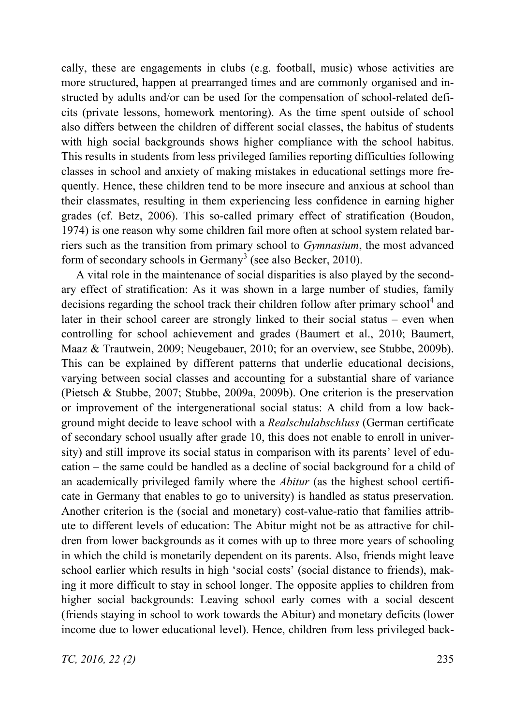cally, these are engagements in clubs (e.g. football, music) whose activities are more structured, happen at prearranged times and are commonly organised and instructed by adults and/or can be used for the compensation of school-related deficits (private lessons, homework mentoring). As the time spent outside of school also differs between the children of different social classes, the habitus of students with high social backgrounds shows higher compliance with the school habitus. This results in students from less privileged families reporting difficulties following classes in school and anxiety of making mistakes in educational settings more frequently. Hence, these children tend to be more insecure and anxious at school than their classmates, resulting in them experiencing less confidence in earning higher grades (cf. Betz, 2006). This so-called primary effect of stratification (Boudon, 1974) is one reason why some children fail more often at school system related barriers such as the transition from primary school to *Gymnasium*, the most advanced form of secondary schools in Germany<sup>3</sup> (see also Becker, 2010).

A vital role in the maintenance of social disparities is also played by the secondary effect of stratification: As it was shown in a large number of studies, family decisions regarding the school track their children follow after primary school<sup>4</sup> and later in their school career are strongly linked to their social status – even when controlling for school achievement and grades (Baumert et al., 2010; Baumert, Maaz & Trautwein, 2009; Neugebauer, 2010; for an overview, see Stubbe, 2009b). This can be explained by different patterns that underlie educational decisions, varying between social classes and accounting for a substantial share of variance (Pietsch & Stubbe, 2007; Stubbe, 2009a, 2009b). One criterion is the preservation or improvement of the intergenerational social status: A child from a low background might decide to leave school with a *Realschulabschluss* (German certificate of secondary school usually after grade 10, this does not enable to enroll in university) and still improve its social status in comparison with its parents' level of education – the same could be handled as a decline of social background for a child of an academically privileged family where the *Abitur* (as the highest school certificate in Germany that enables to go to university) is handled as status preservation. Another criterion is the (social and monetary) cost-value-ratio that families attribute to different levels of education: The Abitur might not be as attractive for children from lower backgrounds as it comes with up to three more years of schooling in which the child is monetarily dependent on its parents. Also, friends might leave school earlier which results in high 'social costs' (social distance to friends), making it more difficult to stay in school longer. The opposite applies to children from higher social backgrounds: Leaving school early comes with a social descent (friends staying in school to work towards the Abitur) and monetary deficits (lower income due to lower educational level). Hence, children from less privileged back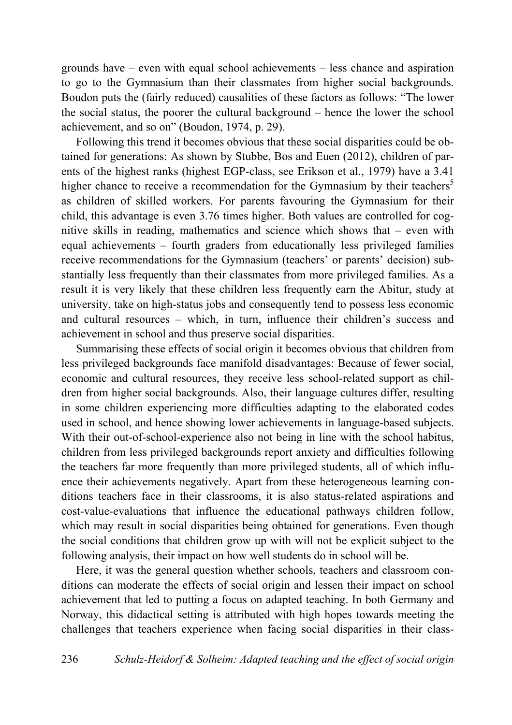grounds have – even with equal school achievements – less chance and aspiration to go to the Gymnasium than their classmates from higher social backgrounds. Boudon puts the (fairly reduced) causalities of these factors as follows: "The lower the social status, the poorer the cultural background – hence the lower the school achievement, and so on" (Boudon, 1974, p. 29).

Following this trend it becomes obvious that these social disparities could be obtained for generations: As shown by Stubbe, Bos and Euen (2012), children of parents of the highest ranks (highest EGP-class, see Erikson et al., 1979) have a 3.41 higher chance to receive a recommendation for the Gymnasium by their teachers<sup>5</sup> as children of skilled workers. For parents favouring the Gymnasium for their child, this advantage is even 3.76 times higher. Both values are controlled for cognitive skills in reading, mathematics and science which shows that – even with equal achievements – fourth graders from educationally less privileged families receive recommendations for the Gymnasium (teachers' or parents' decision) substantially less frequently than their classmates from more privileged families. As a result it is very likely that these children less frequently earn the Abitur, study at university, take on high-status jobs and consequently tend to possess less economic and cultural resources – which, in turn, influence their children's success and achievement in school and thus preserve social disparities.

Summarising these effects of social origin it becomes obvious that children from less privileged backgrounds face manifold disadvantages: Because of fewer social, economic and cultural resources, they receive less school-related support as children from higher social backgrounds. Also, their language cultures differ, resulting in some children experiencing more difficulties adapting to the elaborated codes used in school, and hence showing lower achievements in language-based subjects. With their out-of-school-experience also not being in line with the school habitus, children from less privileged backgrounds report anxiety and difficulties following the teachers far more frequently than more privileged students, all of which influence their achievements negatively. Apart from these heterogeneous learning conditions teachers face in their classrooms, it is also status-related aspirations and cost-value-evaluations that influence the educational pathways children follow, which may result in social disparities being obtained for generations. Even though the social conditions that children grow up with will not be explicit subject to the following analysis, their impact on how well students do in school will be.

Here, it was the general question whether schools, teachers and classroom conditions can moderate the effects of social origin and lessen their impact on school achievement that led to putting a focus on adapted teaching. In both Germany and Norway, this didactical setting is attributed with high hopes towards meeting the challenges that teachers experience when facing social disparities in their class-

236 *Schulz-Heidorf & Solheim: Adapted teaching and the effect of social origin*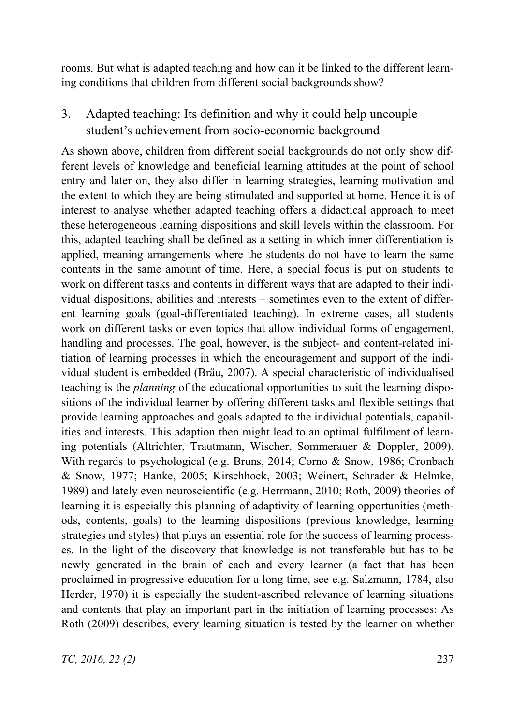rooms. But what is adapted teaching and how can it be linked to the different learning conditions that children from different social backgrounds show?

3. Adapted teaching: Its definition and why it could help uncouple student's achievement from socio-economic background

As shown above, children from different social backgrounds do not only show different levels of knowledge and beneficial learning attitudes at the point of school entry and later on, they also differ in learning strategies, learning motivation and the extent to which they are being stimulated and supported at home. Hence it is of interest to analyse whether adapted teaching offers a didactical approach to meet these heterogeneous learning dispositions and skill levels within the classroom. For this, adapted teaching shall be defined as a setting in which inner differentiation is applied, meaning arrangements where the students do not have to learn the same contents in the same amount of time. Here, a special focus is put on students to work on different tasks and contents in different ways that are adapted to their individual dispositions, abilities and interests – sometimes even to the extent of different learning goals (goal-differentiated teaching). In extreme cases, all students work on different tasks or even topics that allow individual forms of engagement, handling and processes. The goal, however, is the subject- and content-related initiation of learning processes in which the encouragement and support of the individual student is embedded (Bräu, 2007). A special characteristic of individualised teaching is the *planning* of the educational opportunities to suit the learning dispositions of the individual learner by offering different tasks and flexible settings that provide learning approaches and goals adapted to the individual potentials, capabilities and interests. This adaption then might lead to an optimal fulfilment of learning potentials (Altrichter, Trautmann, Wischer, Sommerauer & Doppler, 2009). With regards to psychological (e.g. Bruns, 2014; Corno & Snow, 1986; Cronbach & Snow, 1977; Hanke, 2005; Kirschhock, 2003; Weinert, Schrader & Helmke, 1989) and lately even neuroscientific (e.g. Herrmann, 2010; Roth, 2009) theories of learning it is especially this planning of adaptivity of learning opportunities (methods, contents, goals) to the learning dispositions (previous knowledge, learning strategies and styles) that plays an essential role for the success of learning processes. In the light of the discovery that knowledge is not transferable but has to be newly generated in the brain of each and every learner (a fact that has been proclaimed in progressive education for a long time, see e.g. Salzmann, 1784, also Herder, 1970) it is especially the student-ascribed relevance of learning situations and contents that play an important part in the initiation of learning processes: As Roth (2009) describes, every learning situation is tested by the learner on whether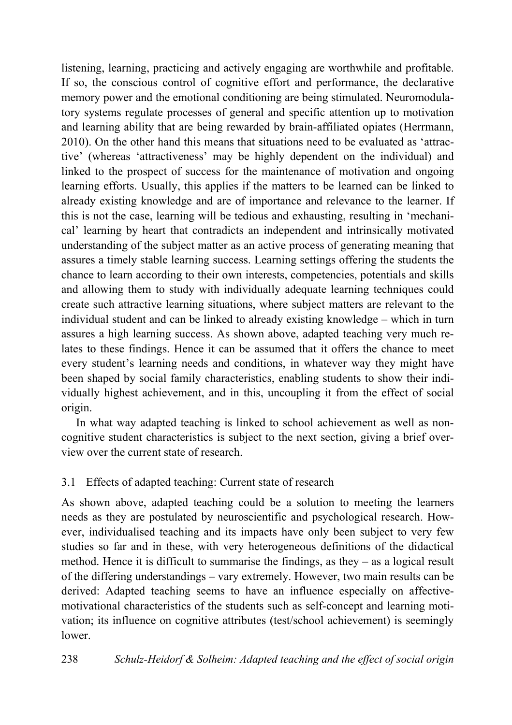listening, learning, practicing and actively engaging are worthwhile and profitable. If so, the conscious control of cognitive effort and performance, the declarative memory power and the emotional conditioning are being stimulated. Neuromodulatory systems regulate processes of general and specific attention up to motivation and learning ability that are being rewarded by brain-affiliated opiates (Herrmann, 2010). On the other hand this means that situations need to be evaluated as 'attractive' (whereas 'attractiveness' may be highly dependent on the individual) and linked to the prospect of success for the maintenance of motivation and ongoing learning efforts. Usually, this applies if the matters to be learned can be linked to already existing knowledge and are of importance and relevance to the learner. If this is not the case, learning will be tedious and exhausting, resulting in 'mechanical' learning by heart that contradicts an independent and intrinsically motivated understanding of the subject matter as an active process of generating meaning that assures a timely stable learning success. Learning settings offering the students the chance to learn according to their own interests, competencies, potentials and skills and allowing them to study with individually adequate learning techniques could create such attractive learning situations, where subject matters are relevant to the individual student and can be linked to already existing knowledge – which in turn assures a high learning success. As shown above, adapted teaching very much relates to these findings. Hence it can be assumed that it offers the chance to meet every student's learning needs and conditions, in whatever way they might have been shaped by social family characteristics, enabling students to show their individually highest achievement, and in this, uncoupling it from the effect of social origin.

In what way adapted teaching is linked to school achievement as well as noncognitive student characteristics is subject to the next section, giving a brief overview over the current state of research.

# 3.1 Effects of adapted teaching: Current state of research

As shown above, adapted teaching could be a solution to meeting the learners needs as they are postulated by neuroscientific and psychological research. However, individualised teaching and its impacts have only been subject to very few studies so far and in these, with very heterogeneous definitions of the didactical method. Hence it is difficult to summarise the findings, as they – as a logical result of the differing understandings – vary extremely. However, two main results can be derived: Adapted teaching seems to have an influence especially on affectivemotivational characteristics of the students such as self-concept and learning motivation; its influence on cognitive attributes (test/school achievement) is seemingly lower.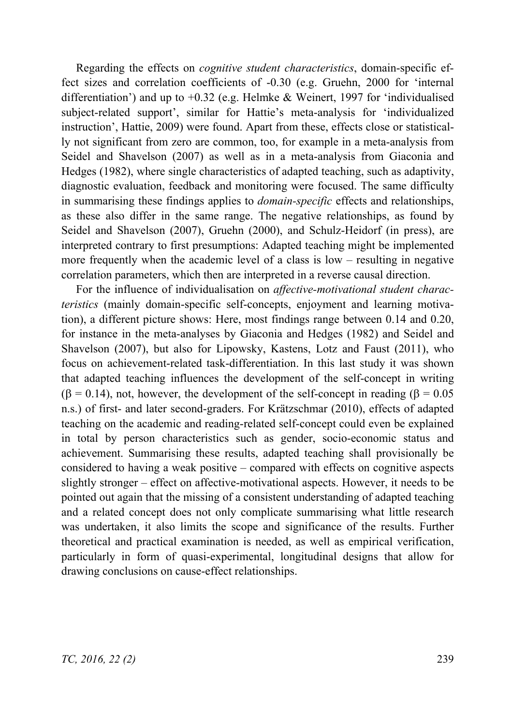Regarding the effects on *cognitive student characteristics*, domain-specific effect sizes and correlation coefficients of -0.30 (e.g. Gruehn, 2000 for 'internal differentiation') and up to  $+0.32$  (e.g. Helmke & Weinert, 1997 for 'individualised subject-related support', similar for Hattie's meta-analysis for 'individualized instruction', Hattie, 2009) were found. Apart from these, effects close or statistically not significant from zero are common, too, for example in a meta-analysis from Seidel and Shavelson (2007) as well as in a meta-analysis from Giaconia and Hedges (1982), where single characteristics of adapted teaching, such as adaptivity, diagnostic evaluation, feedback and monitoring were focused. The same difficulty in summarising these findings applies to *domain-specific* effects and relationships, as these also differ in the same range. The negative relationships, as found by Seidel and Shavelson (2007), Gruehn (2000), and Schulz-Heidorf (in press), are interpreted contrary to first presumptions: Adapted teaching might be implemented more frequently when the academic level of a class is low – resulting in negative correlation parameters, which then are interpreted in a reverse causal direction.

For the influence of individualisation on *affective-motivational student characteristics* (mainly domain-specific self-concepts, enjoyment and learning motivation), a different picture shows: Here, most findings range between 0.14 and 0.20, for instance in the meta-analyses by Giaconia and Hedges (1982) and Seidel and Shavelson (2007), but also for Lipowsky, Kastens, Lotz and Faust (2011), who focus on achievement-related task-differentiation. In this last study it was shown that adapted teaching influences the development of the self-concept in writing  $(\beta = 0.14)$ , not, however, the development of the self-concept in reading  $(\beta = 0.05$ n.s.) of first- and later second-graders. For Krätzschmar (2010), effects of adapted teaching on the academic and reading-related self-concept could even be explained in total by person characteristics such as gender, socio-economic status and achievement. Summarising these results, adapted teaching shall provisionally be considered to having a weak positive – compared with effects on cognitive aspects slightly stronger – effect on affective-motivational aspects. However, it needs to be pointed out again that the missing of a consistent understanding of adapted teaching and a related concept does not only complicate summarising what little research was undertaken, it also limits the scope and significance of the results. Further theoretical and practical examination is needed, as well as empirical verification, particularly in form of quasi-experimental, longitudinal designs that allow for drawing conclusions on cause-effect relationships.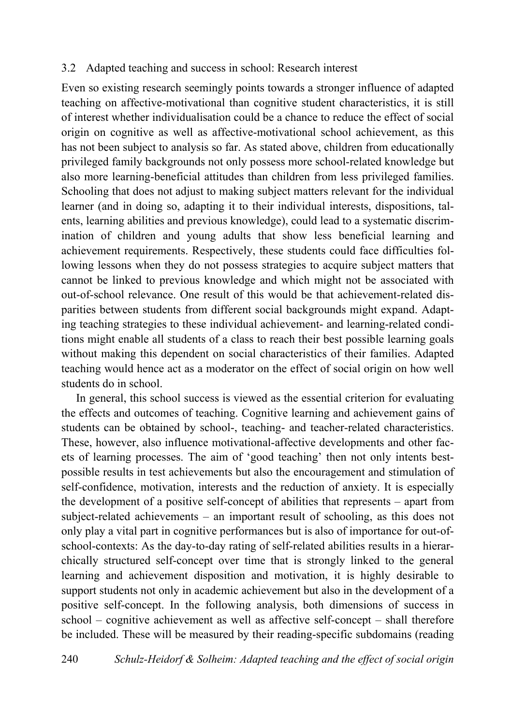#### 3.2 Adapted teaching and success in school: Research interest

Even so existing research seemingly points towards a stronger influence of adapted teaching on affective-motivational than cognitive student characteristics, it is still of interest whether individualisation could be a chance to reduce the effect of social origin on cognitive as well as affective-motivational school achievement, as this has not been subject to analysis so far. As stated above, children from educationally privileged family backgrounds not only possess more school-related knowledge but also more learning-beneficial attitudes than children from less privileged families. Schooling that does not adjust to making subject matters relevant for the individual learner (and in doing so, adapting it to their individual interests, dispositions, talents, learning abilities and previous knowledge), could lead to a systematic discrimination of children and young adults that show less beneficial learning and achievement requirements. Respectively, these students could face difficulties following lessons when they do not possess strategies to acquire subject matters that cannot be linked to previous knowledge and which might not be associated with out-of-school relevance. One result of this would be that achievement-related disparities between students from different social backgrounds might expand. Adapting teaching strategies to these individual achievement- and learning-related conditions might enable all students of a class to reach their best possible learning goals without making this dependent on social characteristics of their families. Adapted teaching would hence act as a moderator on the effect of social origin on how well students do in school.

In general, this school success is viewed as the essential criterion for evaluating the effects and outcomes of teaching. Cognitive learning and achievement gains of students can be obtained by school-, teaching- and teacher-related characteristics. These, however, also influence motivational-affective developments and other facets of learning processes. The aim of 'good teaching' then not only intents bestpossible results in test achievements but also the encouragement and stimulation of self-confidence, motivation, interests and the reduction of anxiety. It is especially the development of a positive self-concept of abilities that represents – apart from subject-related achievements – an important result of schooling, as this does not only play a vital part in cognitive performances but is also of importance for out-ofschool-contexts: As the day-to-day rating of self-related abilities results in a hierarchically structured self-concept over time that is strongly linked to the general learning and achievement disposition and motivation, it is highly desirable to support students not only in academic achievement but also in the development of a positive self-concept. In the following analysis, both dimensions of success in school – cognitive achievement as well as affective self-concept – shall therefore be included. These will be measured by their reading-specific subdomains (reading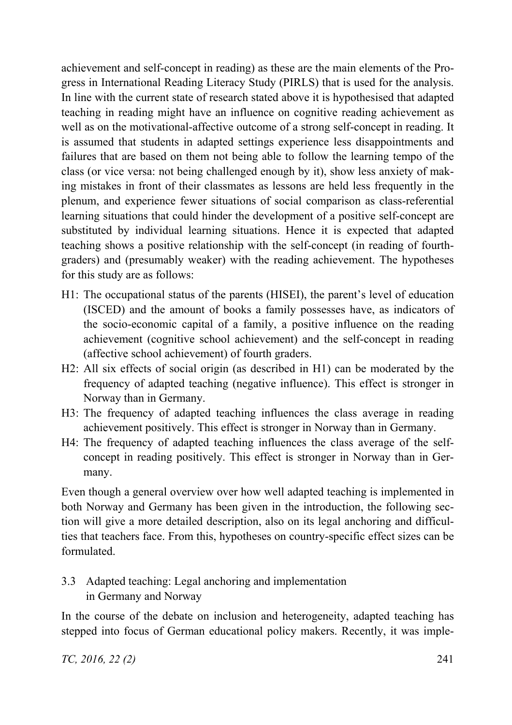achievement and self-concept in reading) as these are the main elements of the Progress in International Reading Literacy Study (PIRLS) that is used for the analysis. In line with the current state of research stated above it is hypothesised that adapted teaching in reading might have an influence on cognitive reading achievement as well as on the motivational-affective outcome of a strong self-concept in reading. It is assumed that students in adapted settings experience less disappointments and failures that are based on them not being able to follow the learning tempo of the class (or vice versa: not being challenged enough by it), show less anxiety of making mistakes in front of their classmates as lessons are held less frequently in the plenum, and experience fewer situations of social comparison as class-referential learning situations that could hinder the development of a positive self-concept are substituted by individual learning situations. Hence it is expected that adapted teaching shows a positive relationship with the self-concept (in reading of fourthgraders) and (presumably weaker) with the reading achievement. The hypotheses for this study are as follows:

- H1: The occupational status of the parents (HISEI), the parent's level of education (ISCED) and the amount of books a family possesses have, as indicators of the socio-economic capital of a family, a positive influence on the reading achievement (cognitive school achievement) and the self-concept in reading (affective school achievement) of fourth graders.
- H2: All six effects of social origin (as described in H1) can be moderated by the frequency of adapted teaching (negative influence). This effect is stronger in Norway than in Germany.
- H3: The frequency of adapted teaching influences the class average in reading achievement positively. This effect is stronger in Norway than in Germany.
- H4: The frequency of adapted teaching influences the class average of the selfconcept in reading positively. This effect is stronger in Norway than in Germany.

Even though a general overview over how well adapted teaching is implemented in both Norway and Germany has been given in the introduction, the following section will give a more detailed description, also on its legal anchoring and difficulties that teachers face. From this, hypotheses on country-specific effect sizes can be formulated.

# 3.3 Adapted teaching: Legal anchoring and implementation in Germany and Norway

In the course of the debate on inclusion and heterogeneity, adapted teaching has stepped into focus of German educational policy makers. Recently, it was imple-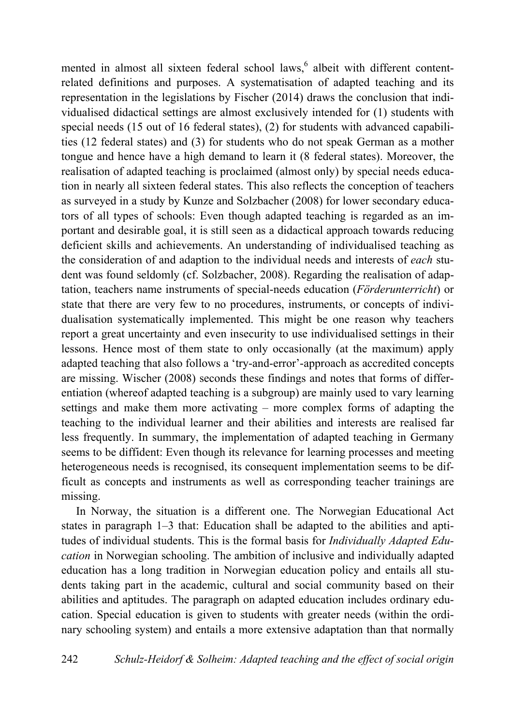mented in almost all sixteen federal school laws,<sup>6</sup> albeit with different contentrelated definitions and purposes. A systematisation of adapted teaching and its representation in the legislations by Fischer (2014) draws the conclusion that individualised didactical settings are almost exclusively intended for (1) students with special needs (15 out of 16 federal states), (2) for students with advanced capabilities (12 federal states) and (3) for students who do not speak German as a mother tongue and hence have a high demand to learn it (8 federal states). Moreover, the realisation of adapted teaching is proclaimed (almost only) by special needs education in nearly all sixteen federal states. This also reflects the conception of teachers as surveyed in a study by Kunze and Solzbacher (2008) for lower secondary educators of all types of schools: Even though adapted teaching is regarded as an important and desirable goal, it is still seen as a didactical approach towards reducing deficient skills and achievements. An understanding of individualised teaching as the consideration of and adaption to the individual needs and interests of *each* student was found seldomly (cf. Solzbacher, 2008). Regarding the realisation of adaptation, teachers name instruments of special-needs education (*Förderunterricht*) or state that there are very few to no procedures, instruments, or concepts of individualisation systematically implemented. This might be one reason why teachers report a great uncertainty and even insecurity to use individualised settings in their lessons. Hence most of them state to only occasionally (at the maximum) apply adapted teaching that also follows a 'try-and-error'-approach as accredited concepts are missing. Wischer (2008) seconds these findings and notes that forms of differentiation (whereof adapted teaching is a subgroup) are mainly used to vary learning settings and make them more activating – more complex forms of adapting the teaching to the individual learner and their abilities and interests are realised far less frequently. In summary, the implementation of adapted teaching in Germany seems to be diffident: Even though its relevance for learning processes and meeting heterogeneous needs is recognised, its consequent implementation seems to be difficult as concepts and instruments as well as corresponding teacher trainings are missing.

In Norway, the situation is a different one. The Norwegian Educational Act states in paragraph 1–3 that: Education shall be adapted to the abilities and aptitudes of individual students. This is the formal basis for *Individually Adapted Education* in Norwegian schooling. The ambition of inclusive and individually adapted education has a long tradition in Norwegian education policy and entails all students taking part in the academic, cultural and social community based on their abilities and aptitudes. The paragraph on adapted education includes ordinary education. Special education is given to students with greater needs (within the ordinary schooling system) and entails a more extensive adaptation than that normally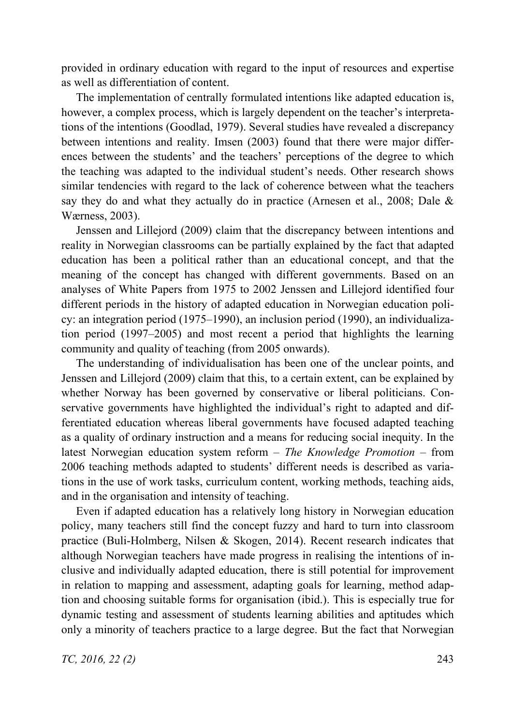provided in ordinary education with regard to the input of resources and expertise as well as differentiation of content.

The implementation of centrally formulated intentions like adapted education is, however, a complex process, which is largely dependent on the teacher's interpretations of the intentions (Goodlad, 1979). Several studies have revealed a discrepancy between intentions and reality. Imsen (2003) found that there were major differences between the students' and the teachers' perceptions of the degree to which the teaching was adapted to the individual student's needs. Other research shows similar tendencies with regard to the lack of coherence between what the teachers say they do and what they actually do in practice (Arnesen et al., 2008; Dale & Wærness, 2003).

Jenssen and Lillejord (2009) claim that the discrepancy between intentions and reality in Norwegian classrooms can be partially explained by the fact that adapted education has been a political rather than an educational concept, and that the meaning of the concept has changed with different governments. Based on an analyses of White Papers from 1975 to 2002 Jenssen and Lillejord identified four different periods in the history of adapted education in Norwegian education policy: an integration period (1975–1990), an inclusion period (1990), an individualization period (1997–2005) and most recent a period that highlights the learning community and quality of teaching (from 2005 onwards).

The understanding of individualisation has been one of the unclear points, and Jenssen and Lillejord (2009) claim that this, to a certain extent, can be explained by whether Norway has been governed by conservative or liberal politicians. Conservative governments have highlighted the individual's right to adapted and differentiated education whereas liberal governments have focused adapted teaching as a quality of ordinary instruction and a means for reducing social inequity. In the latest Norwegian education system reform – *The Knowledge Promotion –* from 2006 teaching methods adapted to students' different needs is described as variations in the use of work tasks, curriculum content, working methods, teaching aids, and in the organisation and intensity of teaching.

Even if adapted education has a relatively long history in Norwegian education policy, many teachers still find the concept fuzzy and hard to turn into classroom practice (Buli-Holmberg, Nilsen & Skogen, 2014). Recent research indicates that although Norwegian teachers have made progress in realising the intentions of inclusive and individually adapted education, there is still potential for improvement in relation to mapping and assessment, adapting goals for learning, method adaption and choosing suitable forms for organisation (ibid.). This is especially true for dynamic testing and assessment of students learning abilities and aptitudes which only a minority of teachers practice to a large degree. But the fact that Norwegian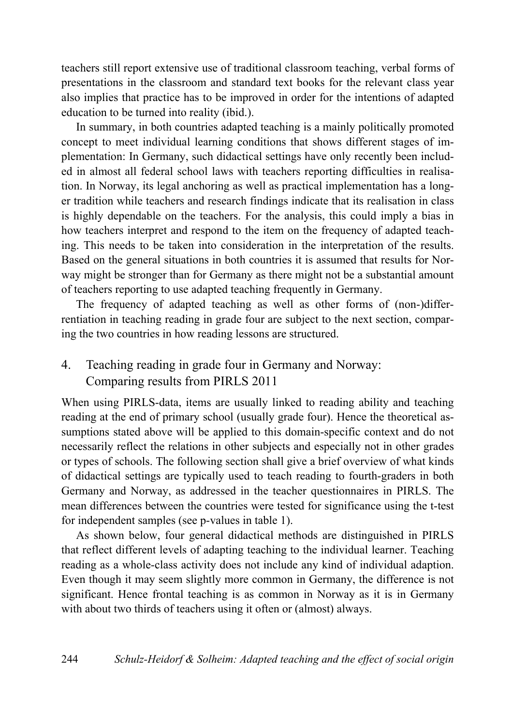teachers still report extensive use of traditional classroom teaching, verbal forms of presentations in the classroom and standard text books for the relevant class year also implies that practice has to be improved in order for the intentions of adapted education to be turned into reality (ibid.).

In summary, in both countries adapted teaching is a mainly politically promoted concept to meet individual learning conditions that shows different stages of implementation: In Germany, such didactical settings have only recently been included in almost all federal school laws with teachers reporting difficulties in realisation. In Norway, its legal anchoring as well as practical implementation has a longer tradition while teachers and research findings indicate that its realisation in class is highly dependable on the teachers. For the analysis, this could imply a bias in how teachers interpret and respond to the item on the frequency of adapted teaching. This needs to be taken into consideration in the interpretation of the results. Based on the general situations in both countries it is assumed that results for Norway might be stronger than for Germany as there might not be a substantial amount of teachers reporting to use adapted teaching frequently in Germany.

The frequency of adapted teaching as well as other forms of (non-)differrentiation in teaching reading in grade four are subject to the next section, comparing the two countries in how reading lessons are structured.

# 4. Teaching reading in grade four in Germany and Norway: Comparing results from PIRLS 2011

When using PIRLS-data, items are usually linked to reading ability and teaching reading at the end of primary school (usually grade four). Hence the theoretical assumptions stated above will be applied to this domain-specific context and do not necessarily reflect the relations in other subjects and especially not in other grades or types of schools. The following section shall give a brief overview of what kinds of didactical settings are typically used to teach reading to fourth-graders in both Germany and Norway, as addressed in the teacher questionnaires in PIRLS. The mean differences between the countries were tested for significance using the t-test for independent samples (see p-values in table 1).

As shown below, four general didactical methods are distinguished in PIRLS that reflect different levels of adapting teaching to the individual learner. Teaching reading as a whole-class activity does not include any kind of individual adaption. Even though it may seem slightly more common in Germany, the difference is not significant. Hence frontal teaching is as common in Norway as it is in Germany with about two thirds of teachers using it often or (almost) always.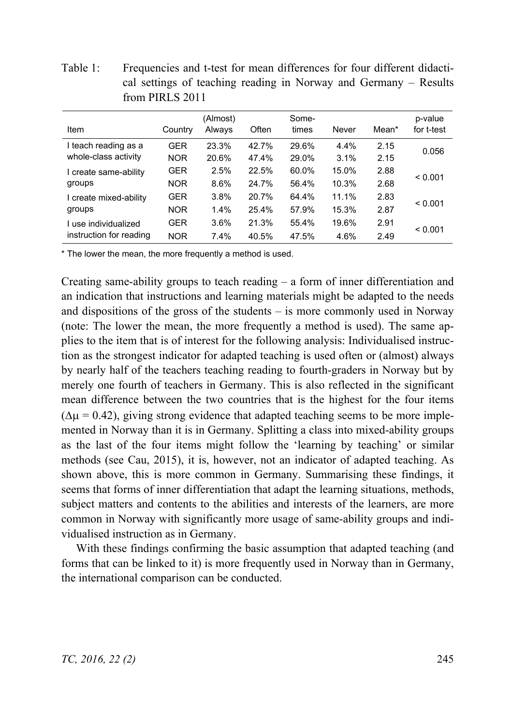Table 1: Frequencies and t-test for mean differences for four different didactical settings of teaching reading in Norway and Germany – Results from PIRLS 2011

| Item                                         | Country                  | (Almost)<br>Always | Often          | Some-<br>times | Never        | Mean*        | p-value<br>for t-test |  |
|----------------------------------------------|--------------------------|--------------------|----------------|----------------|--------------|--------------|-----------------------|--|
| I teach reading as a<br>whole-class activity | <b>GER</b><br><b>NOR</b> | 23.3%<br>20.6%     | 42.7%<br>47.4% | 29.6%<br>29.0% | 4.4%<br>3.1% | 2.15<br>2.15 | 0.056                 |  |
| I create same-ability                        | GER                      | 2.5%               | 22.5%          | 60.0%          | 15.0%        | 2.88         | < 0.001               |  |
| groups                                       | <b>NOR</b>               | 8.6%               | 24.7%          | 56.4%          | 10.3%        | 2.68         |                       |  |
| I create mixed-ability                       | GER                      | 3.8%               | 20.7%          | 64.4%          | 11.1%        | 2.83         | < 0.001               |  |
| groups                                       | <b>NOR</b>               | 1.4%               | 25.4%          | 57.9%          | 15.3%        | 2.87         |                       |  |
| I use individualized                         | <b>GER</b>               | 3.6%               | 21.3%          | 55.4%          | 19.6%        | 2.91         |                       |  |
| instruction for reading                      | <b>NOR</b>               | 7.4%               | 40.5%          | 47.5%          | 4.6%         | 2.49         | < 0.001               |  |

\* The lower the mean, the more frequently a method is used.

Creating same-ability groups to teach reading – a form of inner differentiation and an indication that instructions and learning materials might be adapted to the needs and dispositions of the gross of the students – is more commonly used in Norway (note: The lower the mean, the more frequently a method is used). The same applies to the item that is of interest for the following analysis: Individualised instruction as the strongest indicator for adapted teaching is used often or (almost) always by nearly half of the teachers teaching reading to fourth-graders in Norway but by merely one fourth of teachers in Germany. This is also reflected in the significant mean difference between the two countries that is the highest for the four items  $(\Delta \mu = 0.42)$ , giving strong evidence that adapted teaching seems to be more implemented in Norway than it is in Germany. Splitting a class into mixed-ability groups as the last of the four items might follow the 'learning by teaching' or similar methods (see Cau, 2015), it is, however, not an indicator of adapted teaching. As shown above, this is more common in Germany. Summarising these findings, it seems that forms of inner differentiation that adapt the learning situations, methods, subject matters and contents to the abilities and interests of the learners, are more common in Norway with significantly more usage of same-ability groups and individualised instruction as in Germany.

With these findings confirming the basic assumption that adapted teaching (and forms that can be linked to it) is more frequently used in Norway than in Germany, the international comparison can be conducted.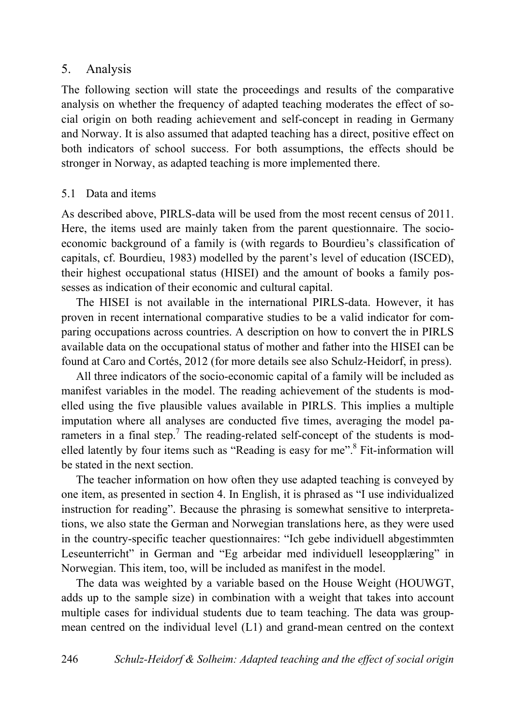## 5. Analysis

The following section will state the proceedings and results of the comparative analysis on whether the frequency of adapted teaching moderates the effect of social origin on both reading achievement and self-concept in reading in Germany and Norway. It is also assumed that adapted teaching has a direct, positive effect on both indicators of school success. For both assumptions, the effects should be stronger in Norway, as adapted teaching is more implemented there.

### 5.1 Data and items

As described above, PIRLS-data will be used from the most recent census of 2011. Here, the items used are mainly taken from the parent questionnaire. The socioeconomic background of a family is (with regards to Bourdieu's classification of capitals, cf. Bourdieu, 1983) modelled by the parent's level of education (ISCED), their highest occupational status (HISEI) and the amount of books a family possesses as indication of their economic and cultural capital.

The HISEI is not available in the international PIRLS-data. However, it has proven in recent international comparative studies to be a valid indicator for comparing occupations across countries. A description on how to convert the in PIRLS available data on the occupational status of mother and father into the HISEI can be found at Caro and Cortés, 2012 (for more details see also Schulz-Heidorf, in press).

All three indicators of the socio-economic capital of a family will be included as manifest variables in the model. The reading achievement of the students is modelled using the five plausible values available in PIRLS. This implies a multiple imputation where all analyses are conducted five times, averaging the model parameters in a final step.<sup>7</sup> The reading-related self-concept of the students is modelled latently by four items such as "Reading is easy for me".<sup>8</sup> Fit-information will be stated in the next section.

The teacher information on how often they use adapted teaching is conveyed by one item, as presented in section 4. In English, it is phrased as "I use individualized instruction for reading". Because the phrasing is somewhat sensitive to interpretations, we also state the German and Norwegian translations here, as they were used in the country-specific teacher questionnaires: "Ich gebe individuell abgestimmten Leseunterricht" in German and "Eg arbeidar med individuell leseopplæring" in Norwegian. This item, too, will be included as manifest in the model.

The data was weighted by a variable based on the House Weight (HOUWGT, adds up to the sample size) in combination with a weight that takes into account multiple cases for individual students due to team teaching. The data was groupmean centred on the individual level (L1) and grand-mean centred on the context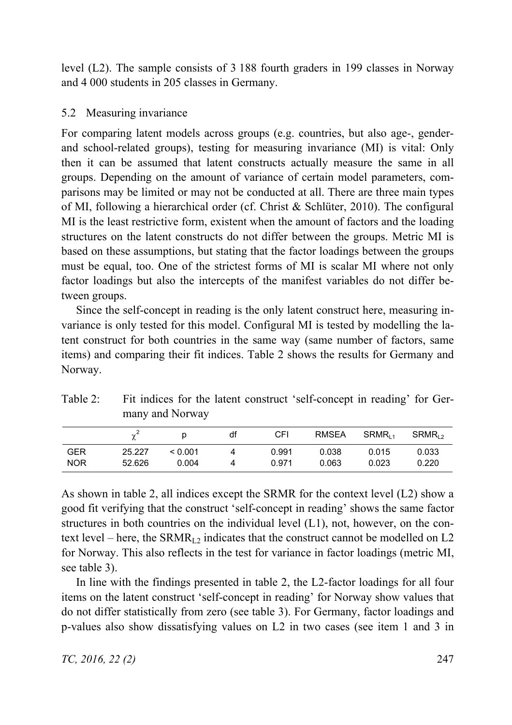level (L2). The sample consists of 3 188 fourth graders in 199 classes in Norway and 4 000 students in 205 classes in Germany.

## 5.2 Measuring invariance

For comparing latent models across groups (e.g. countries, but also age-, genderand school-related groups), testing for measuring invariance (MI) is vital: Only then it can be assumed that latent constructs actually measure the same in all groups. Depending on the amount of variance of certain model parameters, comparisons may be limited or may not be conducted at all. There are three main types of MI, following a hierarchical order (cf. Christ & Schlüter, 2010). The configural MI is the least restrictive form, existent when the amount of factors and the loading structures on the latent constructs do not differ between the groups. Metric MI is based on these assumptions, but stating that the factor loadings between the groups must be equal, too. One of the strictest forms of MI is scalar MI where not only factor loadings but also the intercepts of the manifest variables do not differ between groups.

Since the self-concept in reading is the only latent construct here, measuring invariance is only tested for this model. Configural MI is tested by modelling the latent construct for both countries in the same way (same number of factors, same items) and comparing their fit indices. Table 2 shows the results for Germany and Norway.

|          |                 | CEL. |                                                                         | RMSEA SRMR., SRMR., |  |
|----------|-----------------|------|-------------------------------------------------------------------------|---------------------|--|
|          | many and Norway |      |                                                                         |                     |  |
| Table 2: |                 |      | Fit indices for the latent construct 'self-concept in reading' for Ger- |                     |  |

|            |        |         | df | CFI   | <b>RMSEA</b> | SRMR <sub>11</sub> | SRMR <sub>12</sub> |
|------------|--------|---------|----|-------|--------------|--------------------|--------------------|
| <b>GER</b> | 25.227 | < 0.001 |    | 0.991 | 0.038        | 0.015              | 0.033              |
| <b>NOR</b> | 52.626 | 0.004   |    | 0.971 | 0.063        | 0.023              | 0.220              |

As shown in table 2, all indices except the SRMR for the context level (L2) show a good fit verifying that the construct 'self-concept in reading' shows the same factor structures in both countries on the individual level (L1), not, however, on the context level – here, the SRMR<sub>L2</sub> indicates that the construct cannot be modelled on L2 for Norway. This also reflects in the test for variance in factor loadings (metric MI, see table 3).

In line with the findings presented in table 2, the L2-factor loadings for all four items on the latent construct 'self-concept in reading' for Norway show values that do not differ statistically from zero (see table 3). For Germany, factor loadings and p-values also show dissatisfying values on L2 in two cases (see item 1 and 3 in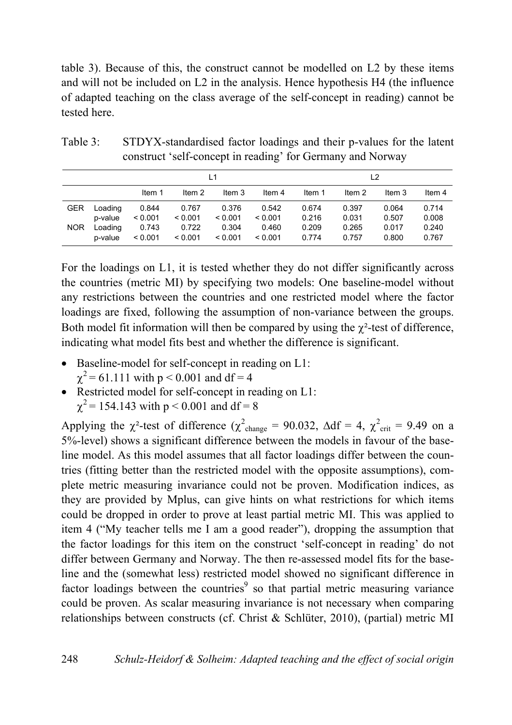table 3). Because of this, the construct cannot be modelled on L2 by these items and will not be included on L2 in the analysis. Hence hypothesis H4 (the influence of adapted teaching on the class average of the self-concept in reading) cannot be tested here.

|            |                    | L1               |                  |                  |                  | L <sub>2</sub> |                |                |                |  |
|------------|--------------------|------------------|------------------|------------------|------------------|----------------|----------------|----------------|----------------|--|
|            |                    | Item 1           | Item 2           | Item 3           | Item 4           | Item 1         | Item 2         | Item 3         | Item 4         |  |
| <b>GER</b> | Loading<br>p-value | 0.844<br>< 0.001 | 0.767<br>< 0.001 | 0.376<br>< 0.001 | 0.542<br>< 0.001 | 0.674<br>0.216 | 0.397<br>0.031 | 0.064<br>0.507 | 0.714<br>0.008 |  |
| <b>NOR</b> | Loading<br>p-value | 0.743<br>< 0.001 | 0.722<br>< 0.001 | 0.304<br>< 0.001 | 0.460<br>< 0.001 | 0.209<br>0.774 | 0.265<br>0.757 | 0.017<br>0.800 | 0.240<br>0.767 |  |

Table 3: STDYX-standardised factor loadings and their p-values for the latent construct 'self-concept in reading' for Germany and Norway

For the loadings on L1, it is tested whether they do not differ significantly across the countries (metric MI) by specifying two models: One baseline-model without any restrictions between the countries and one restricted model where the factor loadings are fixed, following the assumption of non-variance between the groups. Both model fit information will then be compared by using the  $\gamma^2$ -test of difference, indicating what model fits best and whether the difference is significant.

- $\bullet$  Baseline-model for self-concept in reading on L1:
	- $\gamma^2$  = 61.111 with p < 0.001 and df = 4
- $\bullet$  Restricted model for self-concept in reading on L1:
	- $\gamma^2$  = 154.143 with p < 0.001 and df = 8

Applying the  $\chi^2$ -test of difference ( $\chi^2$ <sub>change</sub> = 90.032,  $\Delta df = 4$ ,  $\chi^2$ <sub>crit</sub> = 9.49 on a 5%-level) shows a significant difference between the models in favour of the baseline model. As this model assumes that all factor loadings differ between the countries (fitting better than the restricted model with the opposite assumptions), complete metric measuring invariance could not be proven. Modification indices, as they are provided by Mplus, can give hints on what restrictions for which items could be dropped in order to prove at least partial metric MI. This was applied to item 4 ("My teacher tells me I am a good reader"), dropping the assumption that the factor loadings for this item on the construct 'self-concept in reading' do not differ between Germany and Norway. The then re-assessed model fits for the baseline and the (somewhat less) restricted model showed no significant difference in factor loadings between the countries<sup>9</sup> so that partial metric measuring variance could be proven. As scalar measuring invariance is not necessary when comparing relationships between constructs (cf. Christ & Schlüter, 2010), (partial) metric MI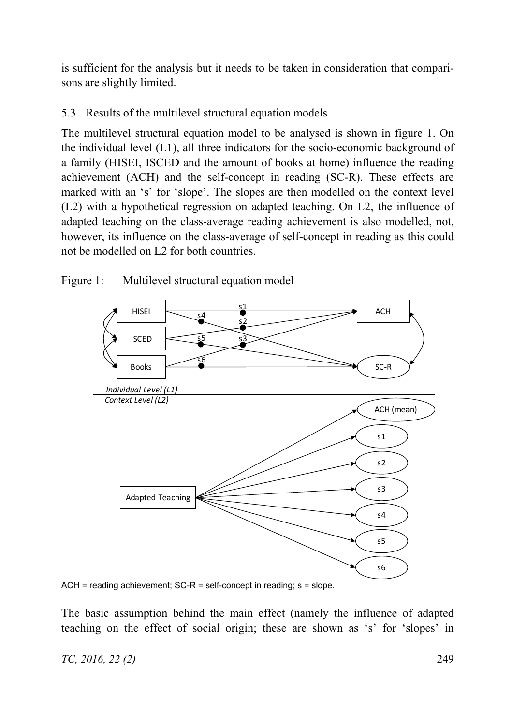is sufficient for the analysis but it needs to be taken in consideration that comparisons are slightly limited.

# 5.3 Results of the multilevel structural equation models

The multilevel structural equation model to be analysed is shown in figure 1. On the individual level (L1), all three indicators for the socio-economic background of a family (HISEI, ISCED and the amount of books at home) influence the reading achievement (ACH) and the self-concept in reading (SC-R). These effects are marked with an 's' for 'slope'. The slopes are then modelled on the context level (L2) with a hypothetical regression on adapted teaching. On L2, the influence of adapted teaching on the class-average reading achievement is also modelled, not, however, its influence on the class-average of self-concept in reading as this could not be modelled on L2 for both countries.



Figure 1: Multilevel structural equation model

ACH = reading achievement; SC-R = self-concept in reading; s = slope.

The basic assumption behind the main effect (namely the influence of adapted teaching on the effect of social origin; these are shown as 's' for 'slopes' in

## *TC, 2016, 22 (2)* 249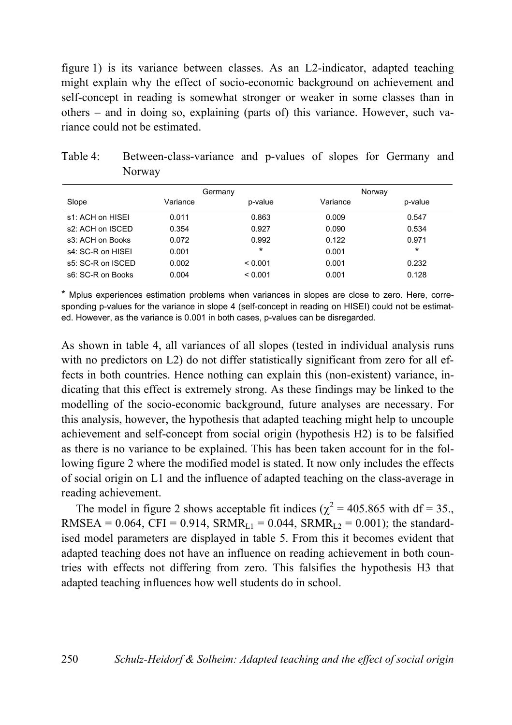figure 1) is its variance between classes. As an L2-indicator, adapted teaching might explain why the effect of socio-economic background on achievement and self-concept in reading is somewhat stronger or weaker in some classes than in others – and in doing so, explaining (parts of) this variance. However, such variance could not be estimated.

|                   | Germany  |         | Norway   |         |
|-------------------|----------|---------|----------|---------|
| Slope             | Variance | p-value | Variance | p-value |
| s1: ACH on HISEI  | 0.011    | 0.863   | 0.009    | 0.547   |
| s2: ACH on ISCED  | 0.354    | 0.927   | 0.090    | 0.534   |
| s3: ACH on Books  | 0.072    | 0.992   | 0.122    | 0.971   |
| s4: SC-R on HISEI | 0.001    | $\star$ | 0.001    | $\star$ |
| s5: SC-R on ISCED | 0.002    | < 0.001 | 0.001    | 0.232   |
| s6: SC-R on Books | 0.004    | < 0.001 | 0.001    | 0.128   |

| Table 4: | Between-class-variance and p-values of slopes for Germany and |  |  |  |  |
|----------|---------------------------------------------------------------|--|--|--|--|
|          | Norway                                                        |  |  |  |  |

\* Mplus experiences estimation problems when variances in slopes are close to zero. Here, corresponding p-values for the variance in slope 4 (self-concept in reading on HISEI) could not be estimated. However, as the variance is 0.001 in both cases, p-values can be disregarded.

As shown in table 4, all variances of all slopes (tested in individual analysis runs with no predictors on L2) do not differ statistically significant from zero for all effects in both countries. Hence nothing can explain this (non-existent) variance, indicating that this effect is extremely strong. As these findings may be linked to the modelling of the socio-economic background, future analyses are necessary. For this analysis, however, the hypothesis that adapted teaching might help to uncouple achievement and self-concept from social origin (hypothesis H2) is to be falsified as there is no variance to be explained. This has been taken account for in the following figure 2 where the modified model is stated. It now only includes the effects of social origin on L1 and the influence of adapted teaching on the class-average in reading achievement.

The model in figure 2 shows acceptable fit indices ( $\chi^2$  = 405.865 with df = 35., RMSEA =  $0.064$ , CFI =  $0.914$ , SRMR<sub>L1</sub> =  $0.044$ , SRMR<sub>L2</sub> =  $0.001$ ); the standardised model parameters are displayed in table 5. From this it becomes evident that adapted teaching does not have an influence on reading achievement in both countries with effects not differing from zero. This falsifies the hypothesis H3 that adapted teaching influences how well students do in school.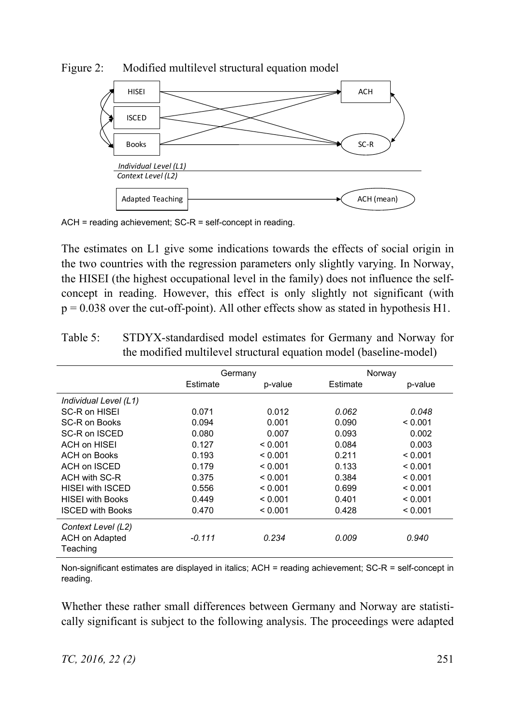

Figure 2: Modified multilevel structural equation model

ACH = reading achievement; SC-R = self-concept in reading.

The estimates on L1 give some indications towards the effects of social origin in the two countries with the regression parameters only slightly varying. In Norway, the HISEI (the highest occupational level in the family) does not influence the selfconcept in reading. However, this effect is only slightly not significant (with  $p = 0.038$  over the cut-off-point). All other effects show as stated in hypothesis H1.

|                         | Germany  |         | Norway   |         |
|-------------------------|----------|---------|----------|---------|
|                         | Estimate | p-value | Estimate | p-value |
| Individual Level (L1)   |          |         |          |         |
| SC-R on HISEI           | 0.071    | 0.012   | 0.062    | 0.048   |
| SC-R on Books           | 0.094    | 0.001   | 0.090    | < 0.001 |
| SC-R on ISCED           | 0.080    | 0.007   | 0.093    | 0.002   |
| ACH on HISEI            | 0.127    | < 0.001 | 0.084    | 0.003   |
| <b>ACH on Books</b>     | 0.193    | < 0.001 | 0.211    | < 0.001 |
| ACH on ISCED            | 0.179    | < 0.001 | 0.133    | < 0.001 |
| ACH with SC-R           | 0.375    | < 0.001 | 0.384    | < 0.001 |
| <b>HISEI with ISCED</b> | 0.556    | < 0.001 | 0.699    | < 0.001 |
| <b>HISEI</b> with Books | 0.449    | < 0.001 | 0.401    | < 0.001 |
| <b>ISCED with Books</b> | 0.470    | < 0.001 | 0.428    | < 0.001 |
| Context Level (L2)      |          |         |          |         |
| <b>ACH on Adapted</b>   | $-0.111$ | 0.234   | 0.009    | 0.940   |
| Teaching                |          |         |          |         |

Table 5: STDYX-standardised model estimates for Germany and Norway for the modified multilevel structural equation model (baseline-model)

Non-significant estimates are displayed in italics; ACH = reading achievement; SC-R = self-concept in reading.

Whether these rather small differences between Germany and Norway are statistically significant is subject to the following analysis. The proceedings were adapted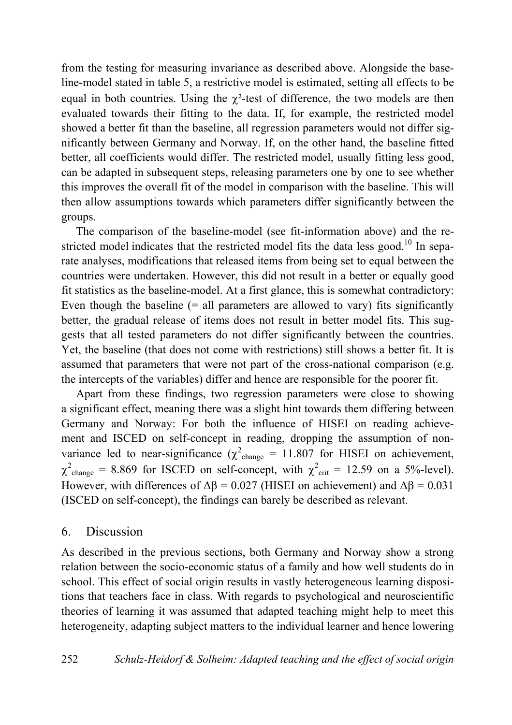from the testing for measuring invariance as described above. Alongside the baseline-model stated in table 5, a restrictive model is estimated, setting all effects to be equal in both countries. Using the  $\gamma^2$ -test of difference, the two models are then evaluated towards their fitting to the data. If, for example, the restricted model showed a better fit than the baseline, all regression parameters would not differ significantly between Germany and Norway. If, on the other hand, the baseline fitted better, all coefficients would differ. The restricted model, usually fitting less good, can be adapted in subsequent steps, releasing parameters one by one to see whether this improves the overall fit of the model in comparison with the baseline. This will then allow assumptions towards which parameters differ significantly between the groups.

The comparison of the baseline-model (see fit-information above) and the restricted model indicates that the restricted model fits the data less good.<sup>10</sup> In separate analyses, modifications that released items from being set to equal between the countries were undertaken. However, this did not result in a better or equally good fit statistics as the baseline-model. At a first glance, this is somewhat contradictory: Even though the baseline  $(=$  all parameters are allowed to vary) fits significantly better, the gradual release of items does not result in better model fits. This suggests that all tested parameters do not differ significantly between the countries. Yet, the baseline (that does not come with restrictions) still shows a better fit. It is assumed that parameters that were not part of the cross-national comparison (e.g. the intercepts of the variables) differ and hence are responsible for the poorer fit.

Apart from these findings, two regression parameters were close to showing a significant effect, meaning there was a slight hint towards them differing between Germany and Norway: For both the influence of HISEI on reading achievement and ISCED on self-concept in reading, dropping the assumption of nonvariance led to near-significance ( $\chi^2$ <sub>change</sub> = 11.807 for HISEI on achievement,  $\chi^2$ <sub>change</sub> = 8.869 for ISCED on self-concept, with  $\chi^2$ <sub>crit</sub> = 12.59 on a 5%-level). However, with differences of  $\Delta \beta = 0.027$  (HISEI on achievement) and  $\Delta \beta = 0.031$ (ISCED on self-concept), the findings can barely be described as relevant.

### 6. Discussion

As described in the previous sections, both Germany and Norway show a strong relation between the socio-economic status of a family and how well students do in school. This effect of social origin results in vastly heterogeneous learning dispositions that teachers face in class. With regards to psychological and neuroscientific theories of learning it was assumed that adapted teaching might help to meet this heterogeneity, adapting subject matters to the individual learner and hence lowering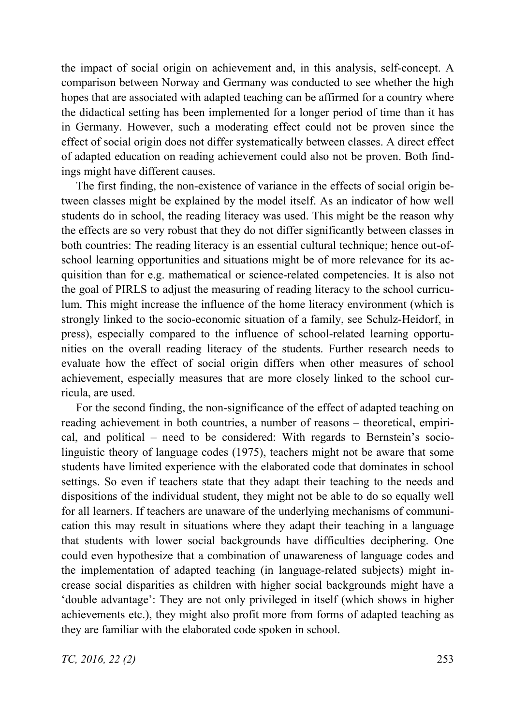the impact of social origin on achievement and, in this analysis, self-concept. A comparison between Norway and Germany was conducted to see whether the high hopes that are associated with adapted teaching can be affirmed for a country where the didactical setting has been implemented for a longer period of time than it has in Germany. However, such a moderating effect could not be proven since the effect of social origin does not differ systematically between classes. A direct effect of adapted education on reading achievement could also not be proven. Both findings might have different causes.

The first finding, the non-existence of variance in the effects of social origin between classes might be explained by the model itself. As an indicator of how well students do in school, the reading literacy was used. This might be the reason why the effects are so very robust that they do not differ significantly between classes in both countries: The reading literacy is an essential cultural technique; hence out-ofschool learning opportunities and situations might be of more relevance for its acquisition than for e.g. mathematical or science-related competencies. It is also not the goal of PIRLS to adjust the measuring of reading literacy to the school curriculum. This might increase the influence of the home literacy environment (which is strongly linked to the socio-economic situation of a family, see Schulz-Heidorf, in press), especially compared to the influence of school-related learning opportunities on the overall reading literacy of the students. Further research needs to evaluate how the effect of social origin differs when other measures of school achievement, especially measures that are more closely linked to the school curricula, are used.

For the second finding, the non-significance of the effect of adapted teaching on reading achievement in both countries, a number of reasons – theoretical, empirical, and political – need to be considered: With regards to Bernstein's sociolinguistic theory of language codes (1975), teachers might not be aware that some students have limited experience with the elaborated code that dominates in school settings. So even if teachers state that they adapt their teaching to the needs and dispositions of the individual student, they might not be able to do so equally well for all learners. If teachers are unaware of the underlying mechanisms of communication this may result in situations where they adapt their teaching in a language that students with lower social backgrounds have difficulties deciphering. One could even hypothesize that a combination of unawareness of language codes and the implementation of adapted teaching (in language-related subjects) might increase social disparities as children with higher social backgrounds might have a 'double advantage': They are not only privileged in itself (which shows in higher achievements etc.), they might also profit more from forms of adapted teaching as they are familiar with the elaborated code spoken in school.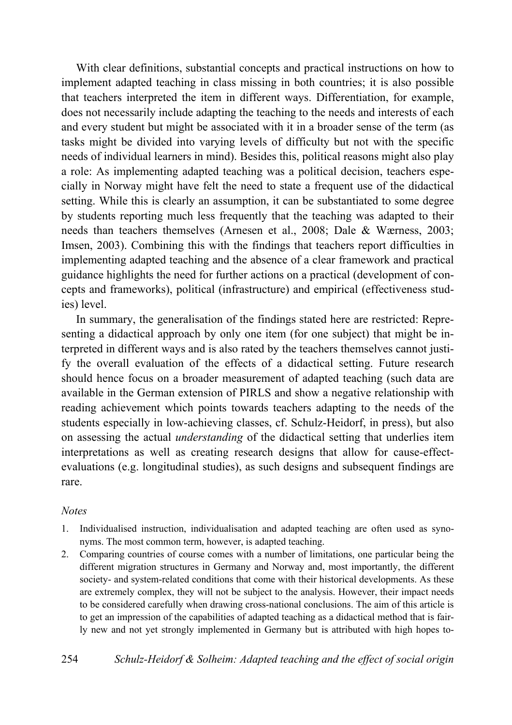With clear definitions, substantial concepts and practical instructions on how to implement adapted teaching in class missing in both countries; it is also possible that teachers interpreted the item in different ways. Differentiation, for example, does not necessarily include adapting the teaching to the needs and interests of each and every student but might be associated with it in a broader sense of the term (as tasks might be divided into varying levels of difficulty but not with the specific needs of individual learners in mind). Besides this, political reasons might also play a role: As implementing adapted teaching was a political decision, teachers especially in Norway might have felt the need to state a frequent use of the didactical setting. While this is clearly an assumption, it can be substantiated to some degree by students reporting much less frequently that the teaching was adapted to their needs than teachers themselves (Arnesen et al., 2008; Dale & Wærness, 2003; Imsen, 2003). Combining this with the findings that teachers report difficulties in implementing adapted teaching and the absence of a clear framework and practical guidance highlights the need for further actions on a practical (development of concepts and frameworks), political (infrastructure) and empirical (effectiveness studies) level.

In summary, the generalisation of the findings stated here are restricted: Representing a didactical approach by only one item (for one subject) that might be interpreted in different ways and is also rated by the teachers themselves cannot justify the overall evaluation of the effects of a didactical setting. Future research should hence focus on a broader measurement of adapted teaching (such data are available in the German extension of PIRLS and show a negative relationship with reading achievement which points towards teachers adapting to the needs of the students especially in low-achieving classes, cf. Schulz-Heidorf, in press), but also on assessing the actual *understanding* of the didactical setting that underlies item interpretations as well as creating research designs that allow for cause-effectevaluations (e.g. longitudinal studies), as such designs and subsequent findings are rare.

#### *Notes*

- 1. Individualised instruction, individualisation and adapted teaching are often used as synonyms. The most common term, however, is adapted teaching.
- 2. Comparing countries of course comes with a number of limitations, one particular being the different migration structures in Germany and Norway and, most importantly, the different society- and system-related conditions that come with their historical developments. As these are extremely complex, they will not be subject to the analysis. However, their impact needs to be considered carefully when drawing cross-national conclusions. The aim of this article is to get an impression of the capabilities of adapted teaching as a didactical method that is fairly new and not yet strongly implemented in Germany but is attributed with high hopes to-

254 *Schulz-Heidorf & Solheim: Adapted teaching and the effect of social origin*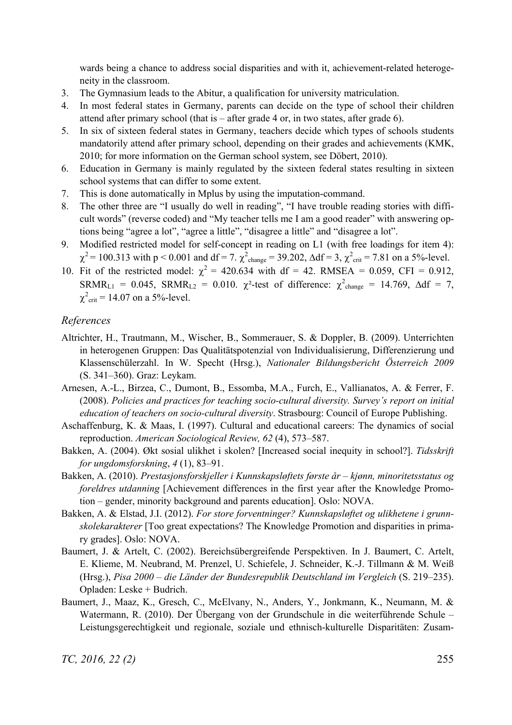wards being a chance to address social disparities and with it, achievement-related heterogeneity in the classroom.

- 3. The Gymnasium leads to the Abitur, a qualification for university matriculation.
- 4. In most federal states in Germany, parents can decide on the type of school their children attend after primary school (that is  $-$  after grade 4 or, in two states, after grade 6).
- 5. In six of sixteen federal states in Germany, teachers decide which types of schools students mandatorily attend after primary school, depending on their grades and achievements (KMK, 2010; for more information on the German school system, see Döbert, 2010).
- 6. Education in Germany is mainly regulated by the sixteen federal states resulting in sixteen school systems that can differ to some extent.
- 7. This is done automatically in Mplus by using the imputation-command.
- 8. The other three are "I usually do well in reading", "I have trouble reading stories with difficult words" (reverse coded) and "My teacher tells me I am a good reader" with answering options being "agree a lot", "agree a little", "disagree a little" and "disagree a lot".
- 9. Modified restricted model for self-concept in reading on L1 (with free loadings for item 4):  $\chi^2$  = 100.313 with p < 0.001 and df = 7.  $\chi^2$ <sub>change</sub> = 39.202,  $\Delta df$  = 3,  $\chi^2$ <sub>crit</sub> = 7.81 on a 5%-level.
- 10. Fit of the restricted model:  $\chi^2 = 420.634$  with df = 42. RMSEA = 0.059, CFI = 0.912, SRMR<sub>L1</sub> = 0.045, SRMR<sub>L2</sub> = 0.010.  $\chi^2$ -test of difference:  $\chi^2$ <sub>change</sub> = 14.769,  $\Delta df = 7$ ,  $\chi^2_{\text{crit}}$  = 14.07 on a 5%-level.

#### *References*

- Altrichter, H., Trautmann, M., Wischer, B., Sommerauer, S. & Doppler, B. (2009). Unterrichten in heterogenen Gruppen: Das Qualitätspotenzial von Individualisierung, Differenzierung und Klassenschülerzahl. In W. Specht (Hrsg.), *Nationaler Bildungsbericht Österreich 2009* (S. 341–360). Graz: Leykam.
- Arnesen, A.-L., Birzea, C., Dumont, B., Essomba, M.A., Furch, E., Vallianatos, A. & Ferrer, F. (2008). *Policies and practices for teaching socio-cultural diversity. Survey's report on initial education of teachers on socio-cultural diversity*. Strasbourg: Council of Europe Publishing.
- Aschaffenburg, K. & Maas, I. (1997). Cultural and educational careers: The dynamics of social reproduction. *American Sociological Review, 62* (4), 573–587.
- Bakken, A. (2004). Økt sosial ulikhet i skolen? [Increased social inequity in school?]. *Tidsskrift for ungdomsforskning*, *4* (1), 83–91.
- Bakken, A. (2010). *Prestasjonsforskjeller i Kunnskapsløftets første år kjønn, minoritetsstatus og foreldres utdanning* [Achievement differences in the first year after the Knowledge Promotion – gender, minority background and parents education]. Oslo: NOVA.
- Bakken, A. & Elstad, J.I. (2012). *For store forventninger? Kunnskapsløftet og ulikhetene i grunnskolekarakterer* [Too great expectations? The Knowledge Promotion and disparities in primary grades]. Oslo: NOVA.
- Baumert, J. & Artelt, C. (2002). Bereichsübergreifende Perspektiven. In J. Baumert, C. Artelt, E. Klieme, M. Neubrand, M. Prenzel, U. Schiefele, J. Schneider, K.-J. Tillmann & M. Weiß (Hrsg.), *Pisa 2000 – die Länder der Bundesrepublik Deutschland im Vergleich* (S. 219–235). Opladen: Leske + Budrich.
- Baumert, J., Maaz, K., Gresch, C., McElvany, N., Anders, Y., Jonkmann, K., Neumann, M. & Watermann, R. (2010). Der Übergang von der Grundschule in die weiterführende Schule – Leistungsgerechtigkeit und regionale, soziale und ethnisch-kulturelle Disparitäten: Zusam-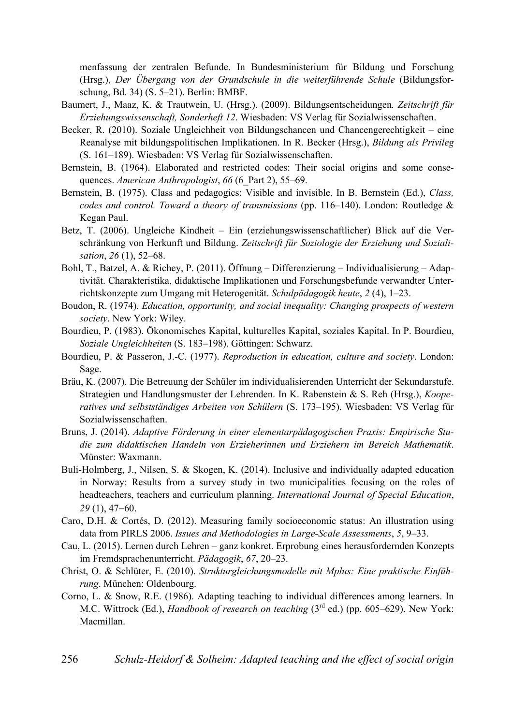menfassung der zentralen Befunde. In Bundesministerium für Bildung und Forschung (Hrsg.), *Der Übergang von der Grundschule in die weiterführende Schule* (Bildungsforschung, Bd. 34) (S. 5–21). Berlin: BMBF.

- Baumert, J., Maaz, K. & Trautwein, U. (Hrsg.). (2009). Bildungsentscheidungen*. Zeitschrift für Erziehungswissenschaft, Sonderheft 12*. Wiesbaden: VS Verlag für Sozialwissenschaften.
- Becker, R. (2010). Soziale Ungleichheit von Bildungschancen und Chancengerechtigkeit eine Reanalyse mit bildungspolitischen Implikationen. In R. Becker (Hrsg.), *Bildung als Privileg* (S. 161–189). Wiesbaden: VS Verlag für Sozialwissenschaften.
- Bernstein, B. (1964). Elaborated and restricted codes: Their social origins and some consequences. *American Anthropologist*, *66* (6\_Part 2), 55–69.
- Bernstein, B. (1975). Class and pedagogics: Visible and invisible. In B. Bernstein (Ed.), *Class, codes and control. Toward a theory of transmissions* (pp. 116–140). London: Routledge & Kegan Paul.
- Betz, T. (2006). Ungleiche Kindheit Ein (erziehungswissenschaftlicher) Blick auf die Verschränkung von Herkunft und Bildung. *Zeitschrift für Soziologie der Erziehung und Sozialisation*, *26* (1), 52–68.
- Bohl, T., Batzel, A. & Richey, P. (2011). Öffnung Differenzierung Individualisierung Adaptivität. Charakteristika, didaktische Implikationen und Forschungsbefunde verwandter Unterrichtskonzepte zum Umgang mit Heterogenität. *Schulpädagogik heute*, *2* (4), 1–23.
- Boudon, R. (1974). *Education, opportunity, and social inequality: Changing prospects of western society*. New York: Wiley.
- Bourdieu, P. (1983). Ökonomisches Kapital, kulturelles Kapital, soziales Kapital. In P. Bourdieu, *Soziale Ungleichheiten* (S. 183–198). Göttingen: Schwarz.
- Bourdieu, P. & Passeron, J.-C. (1977). *Reproduction in education, culture and society*. London: Sage.
- Bräu, K. (2007). Die Betreuung der Schüler im individualisierenden Unterricht der Sekundarstufe. Strategien und Handlungsmuster der Lehrenden. In K. Rabenstein & S. Reh (Hrsg.), *Kooperatives und selbstständiges Arbeiten von Schülern* (S. 173–195). Wiesbaden: VS Verlag für Sozialwissenschaften.
- Bruns, J. (2014). *Adaptive Förderung in einer elementarpädagogischen Praxis: Empirische Studie zum didaktischen Handeln von Erzieherinnen und Erziehern im Bereich Mathematik*. Münster: Waxmann.
- Buli-Holmberg, J., Nilsen, S. & Skogen, K. (2014). Inclusive and individually adapted education in Norway: Results from a survey study in two municipalities focusing on the roles of headteachers, teachers and curriculum planning. *International Journal of Special Education*, *29* (1), 47–60.
- Caro, D.H. & Cortés, D. (2012). Measuring family socioeconomic status: An illustration using data from PIRLS 2006. *Issues and Methodologies in Large-Scale Assessments*, *5*, 9–33.
- Cau, L. (2015). Lernen durch Lehren ganz konkret. Erprobung eines herausfordernden Konzepts im Fremdsprachenunterricht. *Pädagogik*, *67*, 20–23.
- Christ, O. & Schlüter, E. (2010). *Strukturgleichungsmodelle mit Mplus: Eine praktische Einführung*. München: Oldenbourg.
- Corno, L. & Snow, R.E. (1986). Adapting teaching to individual differences among learners. In M.C. Wittrock (Ed.), *Handbook of research on teaching* (3<sup>rd</sup> ed.) (pp. 605–629). New York: Macmillan.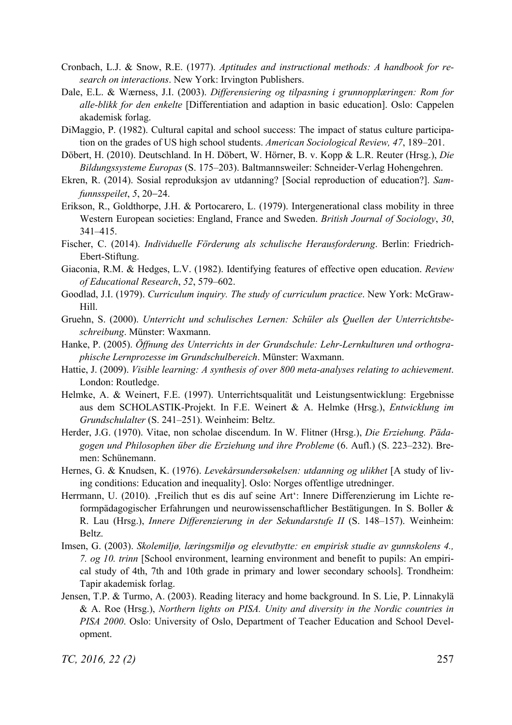- Cronbach, L.J. & Snow, R.E. (1977). *Aptitudes and instructional methods: A handbook for research on interactions*. New York: Irvington Publishers.
- Dale, E.L. & Wærness, J.I. (2003). *Differensiering og tilpasning i grunnopplæringen: Rom for alle-blikk for den enkelte* [Differentiation and adaption in basic education]. Oslo: Cappelen akademisk forlag.
- DiMaggio, P. (1982). Cultural capital and school success: The impact of status culture participation on the grades of US high school students. *American Sociological Review, 47*, 189–201.
- Döbert, H. (2010). Deutschland. In H. Döbert, W. Hörner, B. v. Kopp & L.R. Reuter (Hrsg.), *Die Bildungssysteme Europas* (S. 175–203). Baltmannsweiler: Schneider-Verlag Hohengehren.
- Ekren, R. (2014). Sosial reproduksjon av utdanning? [Social reproduction of education?]. *Samfunnsspeilet*, 5, 20–24.
- Erikson, R., Goldthorpe, J.H. & Portocarero, L. (1979). Intergenerational class mobility in three Western European societies: England, France and Sweden. *British Journal of Sociology*, *30*, 341–415.
- Fischer, C. (2014). *Individuelle Förderung als schulische Herausforderung*. Berlin: Friedrich-Ebert-Stiftung.
- Giaconia, R.M. & Hedges, L.V. (1982). Identifying features of effective open education. *Review of Educational Research*, *52*, 579–602.
- Goodlad, J.I. (1979). *Curriculum inquiry. The study of curriculum practice*. New York: McGraw-Hill.
- Gruehn, S. (2000). *Unterricht und schulisches Lernen: Schüler als Quellen der Unterrichtsbeschreibung*. Münster: Waxmann.
- Hanke, P. (2005). *Öffnung des Unterrichts in der Grundschule: Lehr-Lernkulturen und orthographische Lernprozesse im Grundschulbereich*. Münster: Waxmann.
- Hattie, J. (2009). *Visible learning: A synthesis of over 800 meta-analyses relating to achievement*. London: Routledge.
- Helmke, A. & Weinert, F.E. (1997). Unterrichtsqualität und Leistungsentwicklung: Ergebnisse aus dem SCHOLASTIK-Projekt. In F.E. Weinert & A. Helmke (Hrsg.), *Entwicklung im Grundschulalter* (S. 241–251). Weinheim: Beltz.
- Herder, J.G. (1970). Vitae, non scholae discendum. In W. Flitner (Hrsg.), *Die Erziehung. Pädagogen und Philosophen über die Erziehung und ihre Probleme* (6. Aufl.) (S. 223–232). Bremen: Schünemann.
- Hernes, G. & Knudsen, K. (1976). *Levekårsundersøkelsen: utdanning og ulikhet* [A study of living conditions: Education and inequality]. Oslo: Norges offentlige utredninger.
- Herrmann, U. (2010). 'Freilich thut es dis auf seine Art': Innere Differenzierung im Lichte reformpädagogischer Erfahrungen und neurowissenschaftlicher Bestätigungen. In S. Boller & R. Lau (Hrsg.), *Innere Differenzierung in der Sekundarstufe II* (S. 148–157). Weinheim: Beltz.
- Imsen, G. (2003). *Skolemiljø, læringsmiljø og elevutbytte: en empirisk studie av gunnskolens 4., 7. og 10. trinn* [School environment, learning environment and benefit to pupils: An empirical study of 4th, 7th and 10th grade in primary and lower secondary schools]. Trondheim: Tapir akademisk forlag.
- Jensen, T.P. & Turmo, A. (2003). Reading literacy and home background. In S. Lie, P. Linnakylä & A. Roe (Hrsg.), *Northern lights on PISA. Unity and diversity in the Nordic countries in PISA 2000*. Oslo: University of Oslo, Department of Teacher Education and School Development.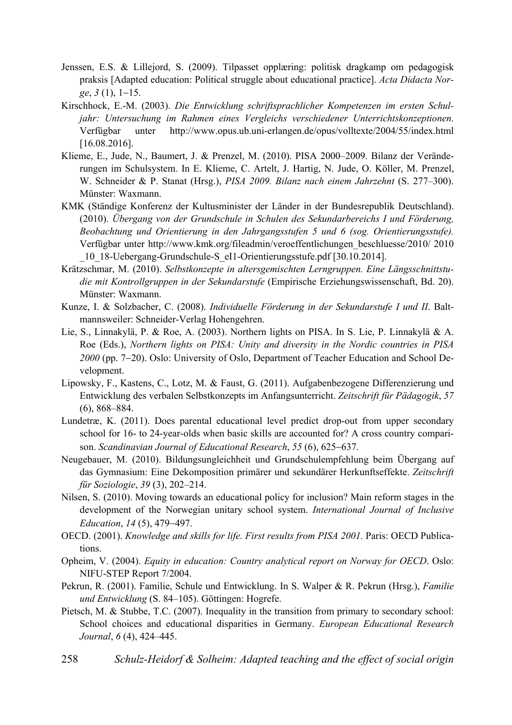- Jenssen, E.S. & Lillejord, S. (2009). Tilpasset opplæring: politisk dragkamp om pedagogisk praksis [Adapted education: Political struggle about educational practice]. *Acta Didacta Norge*, 3(1), 1–15.
- Kirschhock, E.-M. (2003). *Die Entwicklung schriftsprachlicher Kompetenzen im ersten Schuljahr: Untersuchung im Rahmen eines Vergleichs verschiedener Unterrichtskonzeptionen*. Verfügbar unter http://www.opus.ub.uni-erlangen.de/opus/volltexte/2004/55/index.html [16.08.2016].
- Klieme, E., Jude, N., Baumert, J. & Prenzel, M. (2010). PISA 2000–2009. Bilanz der Veränderungen im Schulsystem. In E. Klieme, C. Artelt, J. Hartig, N. Jude, O. Köller, M. Prenzel, W. Schneider & P. Stanat (Hrsg.), *PISA 2009. Bilanz nach einem Jahrzehnt* (S. 277–300). Münster: Waxmann.
- KMK (Ständige Konferenz der Kultusminister der Länder in der Bundesrepublik Deutschland). (2010). *Übergang von der Grundschule in Schulen des Sekundarbereichs I und Förderung, Beobachtung und Orientierung in den Jahrgangsstufen 5 und 6 (sog. Orientierungsstufe).* Verfügbar unter http://www.kmk.org/fileadmin/veroeffentlichungen\_beschluesse/2010/ 2010 \_10\_18-Uebergang-Grundschule-S\_eI1-Orientierungsstufe.pdf [30.10.2014].
- Krätzschmar, M. (2010). *Selbstkonzepte in altersgemischten Lerngruppen. Eine Längsschnittstudie mit Kontrollgruppen in der Sekundarstufe* (Empirische Erziehungswissenschaft, Bd. 20). Münster: Waxmann.
- Kunze, I. & Solzbacher, C. (2008). *Individuelle Förderung in der Sekundarstufe I und II*. Baltmannsweiler: Schneider-Verlag Hohengehren.
- Lie, S., Linnakylä, P. & Roe, A. (2003). Northern lights on PISA. In S. Lie, P. Linnakylä & A. Roe (Eds.), *Northern lights on PISA: Unity and diversity in the Nordic countries in PISA*  2000 (pp. 7-20). Oslo: University of Oslo, Department of Teacher Education and School Development.
- Lipowsky, F., Kastens, C., Lotz, M. & Faust, G. (2011). Aufgabenbezogene Differenzierung und Entwicklung des verbalen Selbstkonzepts im Anfangsunterricht. *Zeitschrift für Pädagogik*, *57* (6), 868–884.
- Lundetræ, K. (2011). Does parental educational level predict drop-out from upper secondary school for 16- to 24-year-olds when basic skills are accounted for? A cross country comparison. *Scandinavian Journal of Educational Research*, 55 (6), 625–637.
- Neugebauer, M. (2010). Bildungsungleichheit und Grundschulempfehlung beim Übergang auf das Gymnasium: Eine Dekomposition primärer und sekundärer Herkunftseffekte. *Zeitschrift für Soziologie*, *39* (3), 202–214.
- Nilsen, S. (2010). Moving towards an educational policy for inclusion? Main reform stages in the development of the Norwegian unitary school system. *International Journal of Inclusive Education*, 14 (5), 479-497.
- OECD. (2001). *Knowledge and skills for life. First results from PISA 2001.* Paris: OECD Publications.
- Opheim, V. (2004). *Equity in education: Country analytical report on Norway for OECD*. Oslo: NIFU-STEP Report 7/2004.
- Pekrun, R. (2001). Familie, Schule und Entwicklung. In S. Walper & R. Pekrun (Hrsg.), *Familie und Entwicklung* (S. 84–105). Göttingen: Hogrefe.
- Pietsch, M. & Stubbe, T.C. (2007). Inequality in the transition from primary to secondary school: School choices and educational disparities in Germany. *European Educational Research Journal*, *6* (4), 424–445.
- 258 *Schulz-Heidorf & Solheim: Adapted teaching and the effect of social origin*